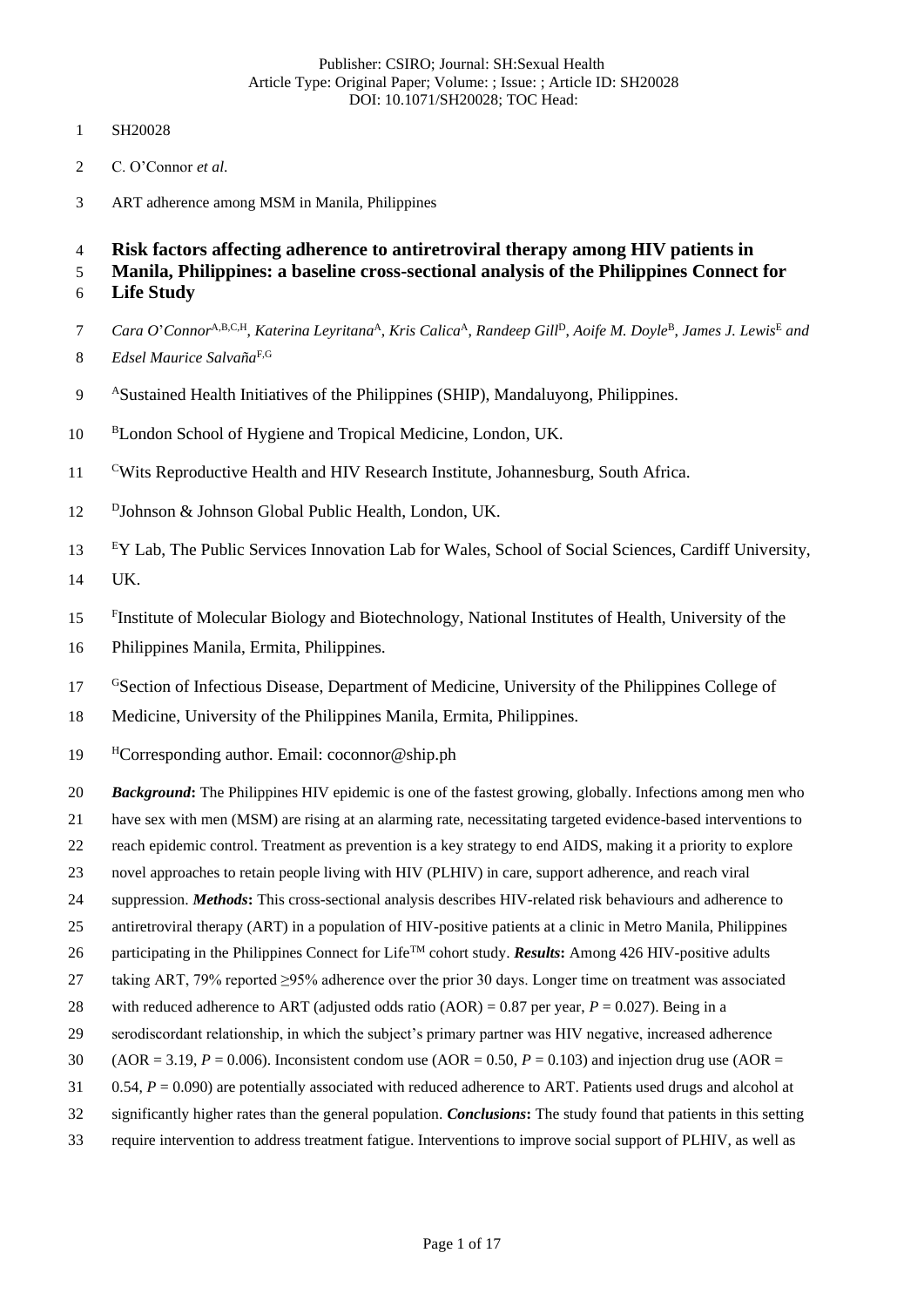- SH20028
- C. O'Connor *et al*.
- ART adherence among MSM in Manila, Philippines

**Risk factors affecting adherence to antiretroviral therapy among HIV patients in** 

 **Manila, Philippines: a baseline cross-sectional analysis of the Philippines Connect for Life Study**

- 7 Cara O'Connor<sup>A,B,C,H</sup>, *Katerina Leyritana*<sup>A</sup>, *Kris Calica*<sup>A</sup>, *Randeep Gill*<sup>D</sup>, *Aoife M. Doyle*<sup>B</sup>, *James J. Lewis*<sup>E</sup> and *Edsel Maurice Salvaña*F,G
- 9 ASustained Health Initiatives of the Philippines (SHIP), Mandaluyong, Philippines.
- 10 BLondon School of Hygiene and Tropical Medicine, London, UK.
- <sup>C</sup>Wits Reproductive Health and HIV Research Institute, Johannesburg, South Africa.
- 12 <sup>D</sup>Johnson & Johnson Global Public Health, London, UK.
- <sup>E</sup>Y Lab, The Public Services Innovation Lab for Wales, School of Social Sciences, Cardiff University, UK.
- <sup>F</sup>Institute of Molecular Biology and Biotechnology, National Institutes of Health, University of the
- Philippines Manila, Ermita, Philippines.
- <sup>G</sup>Section of Infectious Disease, Department of Medicine, University of the Philippines College of
- Medicine, University of the Philippines Manila, Ermita, Philippines.
- 19 <sup>H</sup>Corresponding author. Email: coconnor@ship.ph
- *Background***:** The Philippines HIV epidemic is one of the fastest growing, globally. Infections among men who
- have sex with men (MSM) are rising at an alarming rate, necessitating targeted evidence-based interventions to
- reach epidemic control. Treatment as prevention is a key strategy to end AIDS, making it a priority to explore
- novel approaches to retain people living with HIV (PLHIV) in care, support adherence, and reach viral
- suppression. *Methods***:** This cross-sectional analysis describes HIV-related risk behaviours and adherence to
- antiretroviral therapy (ART) in a population of HIV-positive patients at a clinic in Metro Manila, Philippines
- 26 participating in the Philippines Connect for Life<sup>TM</sup> cohort study. *Results*: Among 426 HIV-positive adults
- taking ART, 79% reported ≥95% adherence over the prior 30 days. Longer time on treatment was associated
- with reduced adherence to ART (adjusted odds ratio (AOR) = 0.87 per year, *P* = 0.027). Being in a
- serodiscordant relationship, in which the subject's primary partner was HIV negative, increased adherence
- (AOR = 3.19, *P* = 0.006). Inconsistent condom use (AOR = 0.50, *P* = 0.103) and injection drug use (AOR =
- 0.54, *P* = 0.090) are potentially associated with reduced adherence to ART. Patients used drugs and alcohol at
- significantly higher rates than the general population. *Conclusions***:** The study found that patients in this setting
- require intervention to address treatment fatigue. Interventions to improve social support of PLHIV, as well as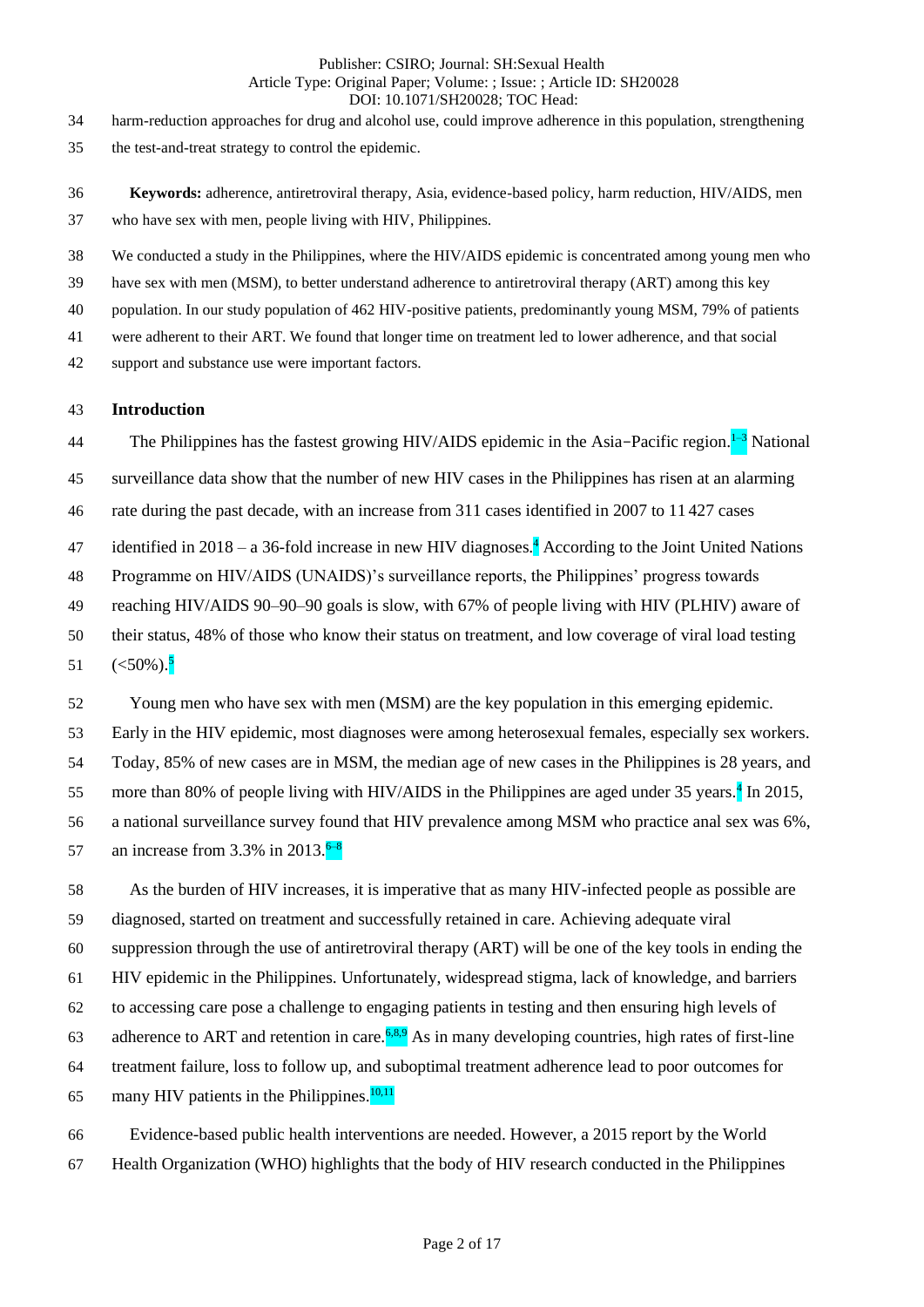harm-reduction approaches for drug and alcohol use, could improve adherence in this population, strengthening

- the test-and-treat strategy to control the epidemic.
- **Keywords:** adherence, antiretroviral therapy, Asia, evidence-based policy, harm reduction, HIV/AIDS, men who have sex with men, people living with HIV, Philippines.

We conducted a study in the Philippines, where the HIV/AIDS epidemic is concentrated among young men who

have sex with men (MSM), to better understand adherence to antiretroviral therapy (ART) among this key

population. In our study population of 462 HIV-positive patients, predominantly young MSM, 79% of patients

were adherent to their ART. We found that longer time on treatment led to lower adherence, and that social

support and substance use were important factors.

## **Introduction**

44 The Philippines has the fastest growing HIV/AIDS epidemic in the Asia–Pacific region.  $1-3$  National

surveillance data show that the number of new HIV cases in the Philippines has risen at an alarming

rate during the past decade, with an increase from 311 cases identified in 2007 to 11 427 cases

47 identified in 2018 – a 36-fold increase in new HIV diagnoses.<sup>4</sup> According to the Joint United Nations

Programme on HIV/AIDS (UNAIDS)'s surveillance reports, the Philippines' progress towards

reaching HIV/AIDS 90–90–90 goals is slow, with 67% of people living with HIV (PLHIV) aware of

their status, 48% of those who know their status on treatment, and low coverage of viral load testing

 $(<50\%)$ .<sup>5</sup> 

Young men who have sex with men (MSM) are the key population in this emerging epidemic.

Early in the HIV epidemic, most diagnoses were among heterosexual females, especially sex workers.

Today, 85% of new cases are in MSM, the median age of new cases in the Philippines is 28 years, and

55 more than 80% of people living with HIV/AIDS in the Philippines are aged under years.<sup>4</sup> In 2015,

a national surveillance survey found that HIV prevalence among MSM who practice anal sex was 6%,

an increase from 3.3% in 2013. $6-8$ 

 As the burden of HIV increases, it is imperative that as many HIV-infected people as possible are diagnosed, started on treatment and successfully retained in care. Achieving adequate viral suppression through the use of antiretroviral therapy (ART) will be one of the key tools in ending the HIV epidemic in the Philippines. Unfortunately, widespread stigma, lack of knowledge, and barriers to accessing care pose a challenge to engaging patients in testing and then ensuring high levels of 63 adherence to ART and retention in care.  $68.9$  As in many developing countries, high rates of first-line treatment failure, loss to follow up, and suboptimal treatment adherence lead to poor outcomes for 65 many HIV patients in the Philippines. $\frac{10,11}{2}$ 

 Evidence-based public health interventions are needed. However, a 2015 report by the World Health Organization (WHO) highlights that the body of HIV research conducted in the Philippines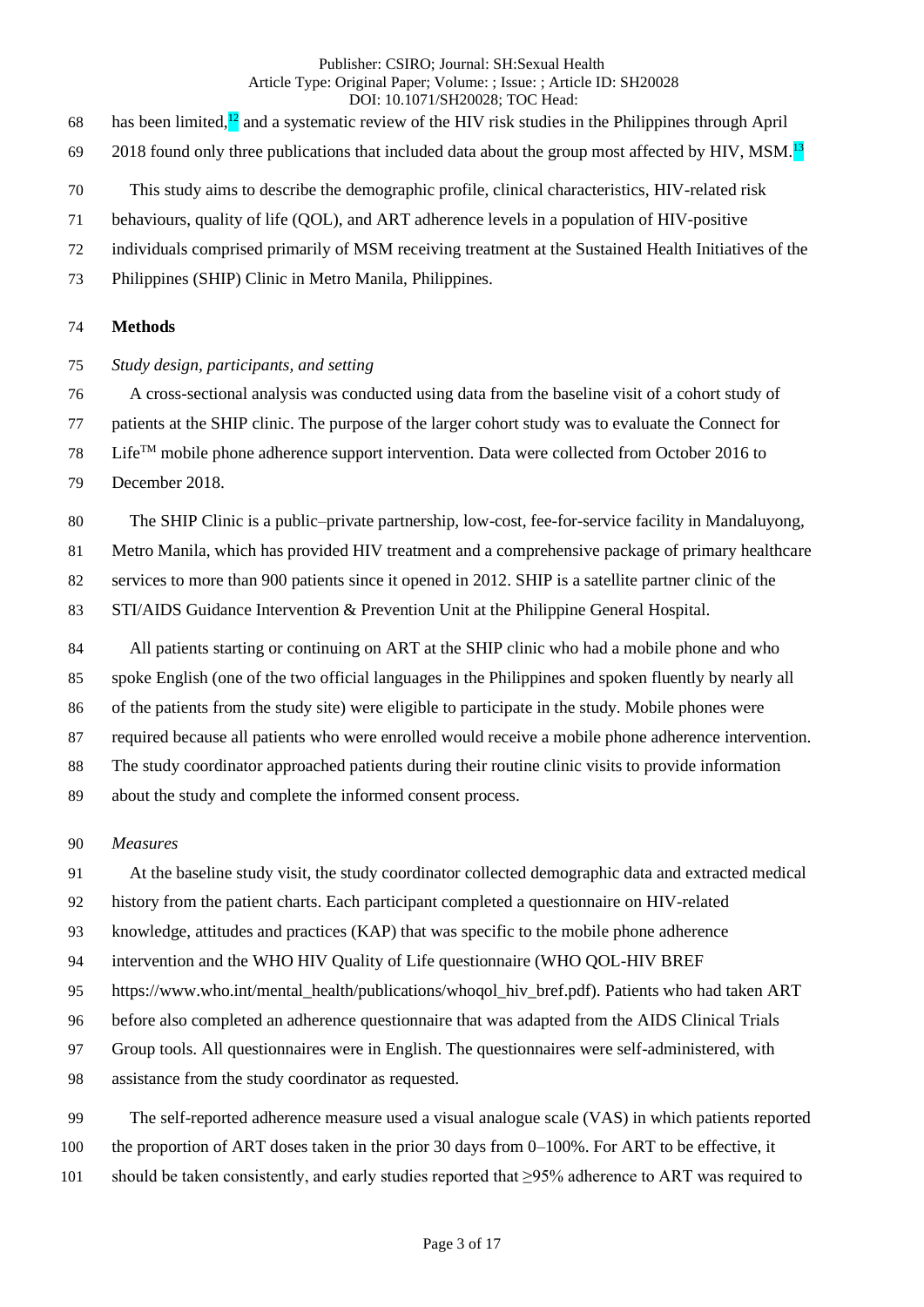- 68 has been limited, $\frac{12}{2}$  and a systematic review of the HIV risk studies in the Philippines through April
- found only three publications that included data about the group most affected by HIV, MSM.<sup>13</sup>
- This study aims to describe the demographic profile, clinical characteristics, HIV-related risk
- behaviours, quality of life (QOL), and ART adherence levels in a population of HIV-positive
- individuals comprised primarily of MSM receiving treatment at the Sustained Health Initiatives of the
- Philippines (SHIP) Clinic in Metro Manila, Philippines.

## **Methods**

- *Study design, participants, and setting*
- A cross-sectional analysis was conducted using data from the baseline visit of a cohort study of

patients at the SHIP clinic. The purpose of the larger cohort study was to evaluate the Connect for

- Life<sup>TM</sup> mobile phone adherence support intervention. Data were collected from October 2016 to
- December 2018.

The SHIP Clinic is a public–private partnership, low-cost, fee-for-service facility in Mandaluyong,

Metro Manila, which has provided HIV treatment and a comprehensive package of primary healthcare

services to more than 900 patients since it opened in 2012. SHIP is a satellite partner clinic of the

STI/AIDS Guidance Intervention & Prevention Unit at the Philippine General Hospital.

 All patients starting or continuing on ART at the SHIP clinic who had a mobile phone and who spoke English (one of the two official languages in the Philippines and spoken fluently by nearly all of the patients from the study site) were eligible to participate in the study. Mobile phones were required because all patients who were enrolled would receive a mobile phone adherence intervention. The study coordinator approached patients during their routine clinic visits to provide information about the study and complete the informed consent process.

# *Measures*

At the baseline study visit, the study coordinator collected demographic data and extracted medical

history from the patient charts. Each participant completed a questionnaire on HIV-related

knowledge, attitudes and practices (KAP) that was specific to the mobile phone adherence

intervention and the WHO HIV Quality of Life questionnaire (WHO QOL-HIV BREF

https://www.who.int/mental\_health/publications/whoqol\_hiv\_bref.pdf). Patients who had taken ART

before also completed an adherence questionnaire that was adapted from the AIDS Clinical Trials

- Group tools. All questionnaires were in English. The questionnaires were self-administered, with
- assistance from the study coordinator as requested.

The self-reported adherence measure used a visual analogue scale (VAS) in which patients reported

the proportion of ART doses taken in the prior 30 days from 0–100%. For ART to be effective, it

should be taken consistently, and early studies reported that ≥95% adherence to ART was required to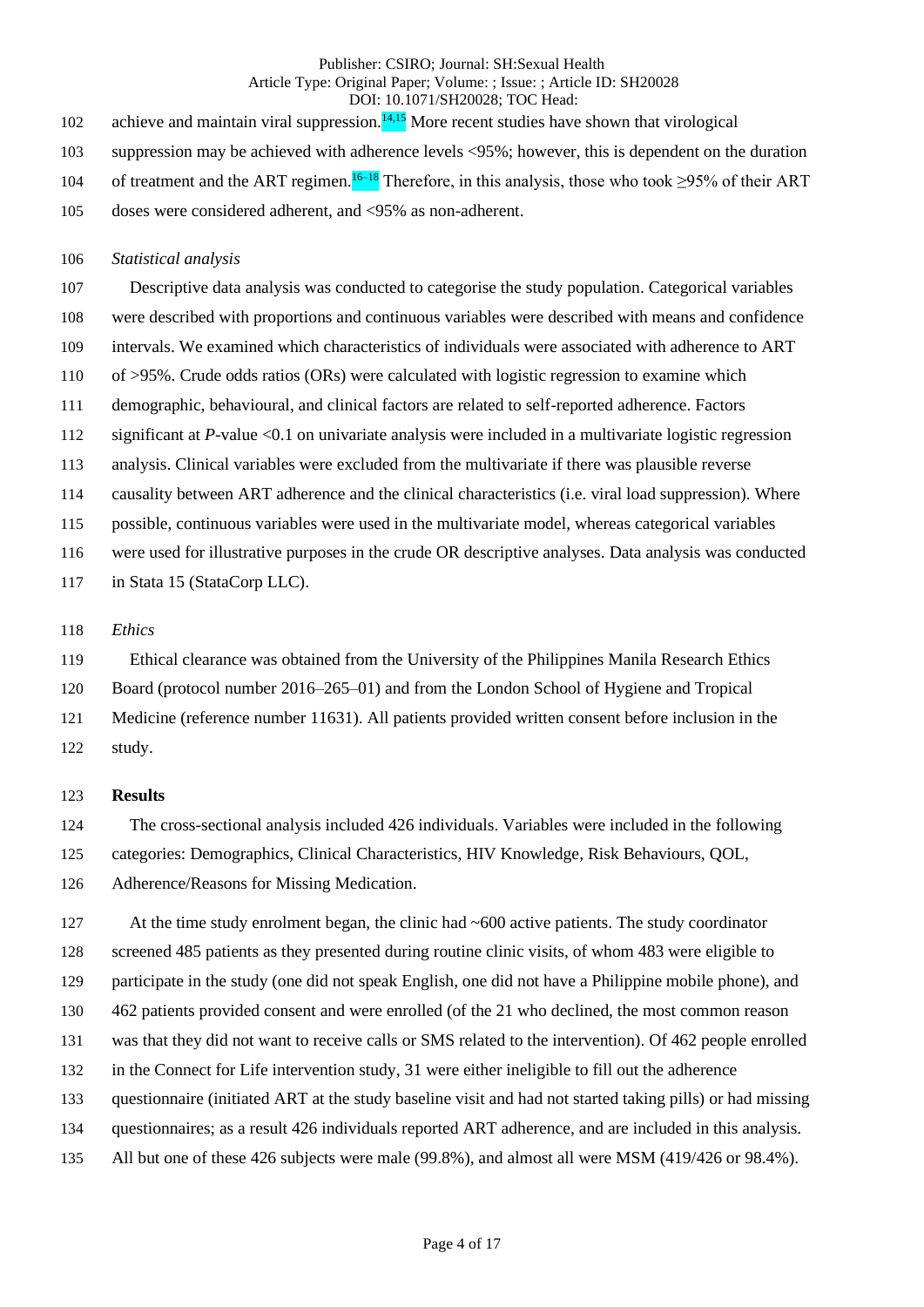102 achieve and maintain viral suppression. $14.15$  More recent studies have shown that virological

suppression may be achieved with adherence levels <95%; however, this is dependent on the duration

- 104 of treatment and the ART regimen.<sup>16–18</sup> Therefore, in this analysis, those who took ≥95% of their ART
- doses were considered adherent, and <95% as non-adherent.

## *Statistical analysis*

 Descriptive data analysis was conducted to categorise the study population. Categorical variables were described with proportions and continuous variables were described with means and confidence intervals. We examined which characteristics of individuals were associated with adherence to ART of >95%. Crude odds ratios (ORs) were calculated with logistic regression to examine which demographic, behavioural, and clinical factors are related to self-reported adherence. Factors significant at *P*-value <0.1 on univariate analysis were included in a multivariate logistic regression analysis. Clinical variables were excluded from the multivariate if there was plausible reverse causality between ART adherence and the clinical characteristics (i.e. viral load suppression). Where possible, continuous variables were used in the multivariate model, whereas categorical variables

were used for illustrative purposes in the crude OR descriptive analyses. Data analysis was conducted

117 in Stata 15 (StataCorp LLC).

## *Ethics*

Ethical clearance was obtained from the University of the Philippines Manila Research Ethics

- Board (protocol number 2016–265–01) and from the London School of Hygiene and Tropical
- Medicine (reference number 11631). All patients provided written consent before inclusion in the
- study.

# **Results**

The cross-sectional analysis included 426 individuals. Variables were included in the following

categories: Demographics, Clinical Characteristics, HIV Knowledge, Risk Behaviours, QOL,

Adherence/Reasons for Missing Medication.

127 At the time study enrolment began, the clinic had ~600 active patients. The study coordinator screened 485 patients as they presented during routine clinic visits, of whom 483 were eligible to participate in the study (one did not speak English, one did not have a Philippine mobile phone), and 462 patients provided consent and were enrolled (of the 21 who declined, the most common reason was that they did not want to receive calls or SMS related to the intervention). Of 462 people enrolled in the Connect for Life intervention study, 31 were either ineligible to fill out the adherence questionnaire (initiated ART at the study baseline visit and had not started taking pills) or had missing questionnaires; as a result 426 individuals reported ART adherence, and are included in this analysis. All but one of these 426 subjects were male (99.8%), and almost all were MSM (419/426 or 98.4%).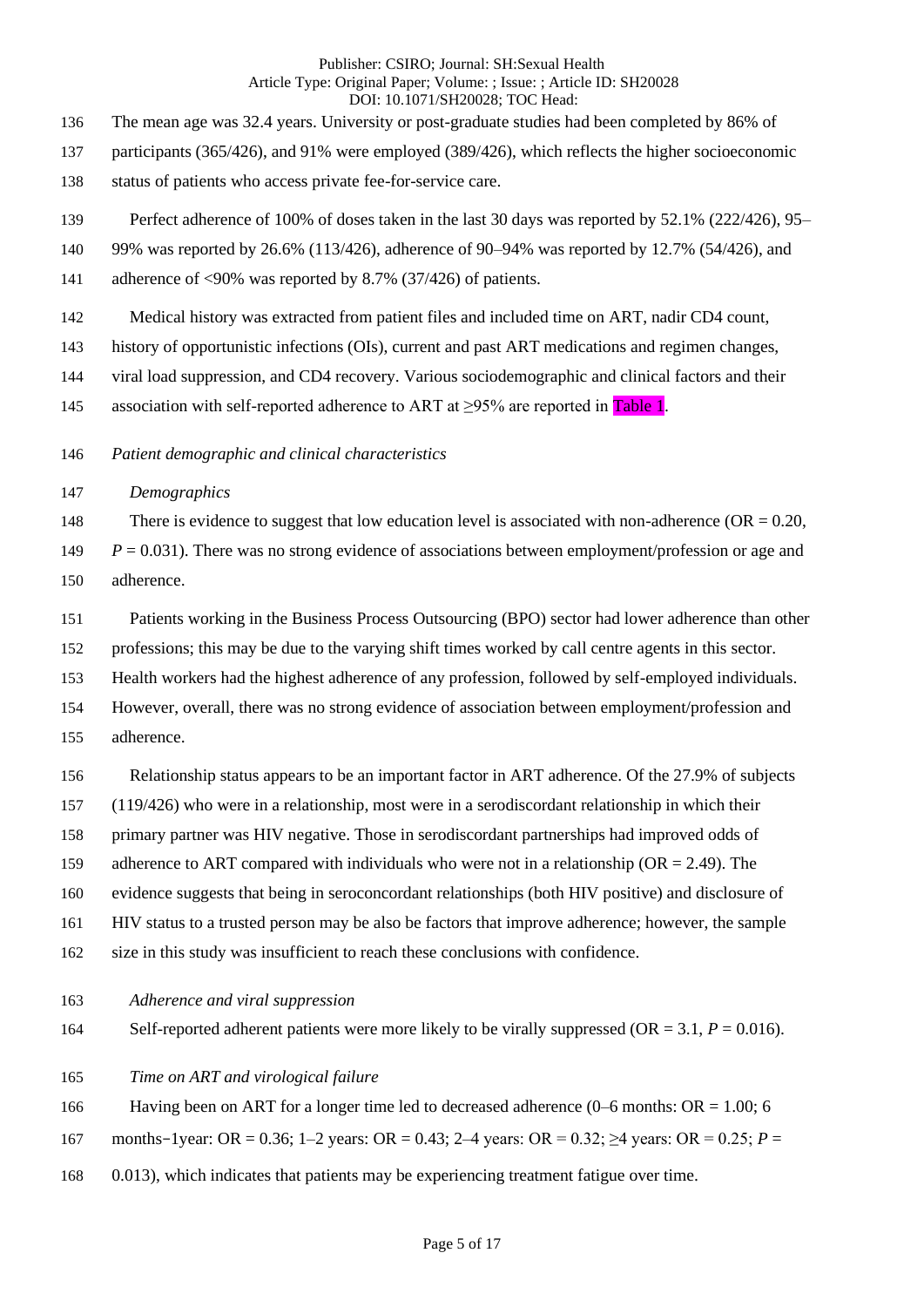The mean age was 32.4 years. University or post-graduate studies had been completed by 86% of

- participants (365/426), and 91% were employed (389/426), which reflects the higher socioeconomic
- status of patients who access private fee-for-service care.
- Perfect adherence of 100% of doses taken in the last 30 days was reported by 52.1% (222/426), 95–
- 99% was reported by 26.6% (113/426), adherence of 90–94% was reported by 12.7% (54/426), and
- 141 adherence of <90% was reported by 8.7% (37/426) of patients.
- Medical history was extracted from patient files and included time on ART, nadir CD4 count,
- history of opportunistic infections (OIs), current and past ART medications and regimen changes,
- viral load suppression, and CD4 recovery. Various sociodemographic and clinical factors and their
- 145 association with self-reported adherence to ART at  $\geq$ 95% are reported in Table 1.
- *Patient demographic and clinical characteristics*
- *Demographics*

148 There is evidence to suggest that low education level is associated with non-adherence  $(OR = 0.20,$  *P* = 0.031). There was no strong evidence of associations between employment/profession or age and adherence.

- Patients working in the Business Process Outsourcing (BPO) sector had lower adherence than other
- professions; this may be due to the varying shift times worked by call centre agents in this sector.
- Health workers had the highest adherence of any profession, followed by self-employed individuals.
- However, overall, there was no strong evidence of association between employment/profession and adherence.
- Relationship status appears to be an important factor in ART adherence. Of the 27.9% of subjects (119/426) who were in a relationship, most were in a serodiscordant relationship in which their primary partner was HIV negative. Those in serodiscordant partnerships had improved odds of 159 adherence to ART compared with individuals who were not in a relationship (OR = 2.49). The evidence suggests that being in seroconcordant relationships (both HIV positive) and disclosure of HIV status to a trusted person may be also be factors that improve adherence; however, the sample size in this study was insufficient to reach these conclusions with confidence.
- *Adherence and viral suppression*
- 164 Self-reported adherent patients were more likely to be virally suppressed (OR =  $3.1, P = 0.016$ ).
- *Time on ART and virological failure*
- Having been on ART for a longer time led to decreased adherence (0–6 months: OR = 1.00; 6
- months–1year: OR = 0.36; 1–2 years: OR = 0.43; 2–4 years: OR = 0.32; ≥4 years: OR = 0.25; *P* =
- 0.013), which indicates that patients may be experiencing treatment fatigue over time.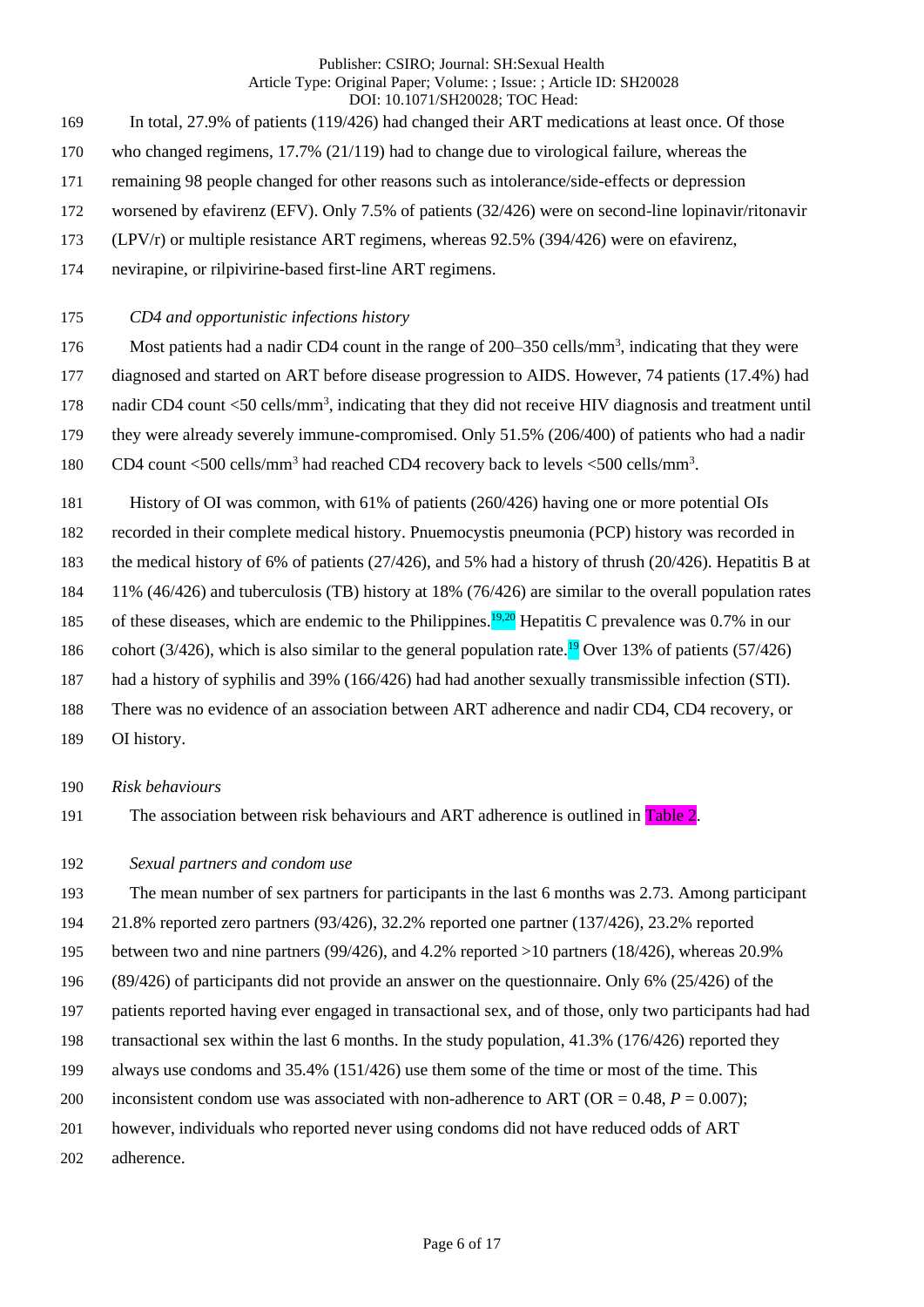- In total, 27.9% of patients (119/426) had changed their ART medications at least once. Of those
- who changed regimens, 17.7% (21/119) had to change due to virological failure, whereas the
- remaining 98 people changed for other reasons such as intolerance/side-effects or depression
- worsened by efavirenz (EFV). Only 7.5% of patients (32/426) were on second-line lopinavir/ritonavir
- (LPV/r) or multiple resistance ART regimens, whereas 92.5% (394/426) were on efavirenz,
- nevirapine, or rilpivirine-based first-line ART regimens.

# *CD4 and opportunistic infections history*

- 176 Most patients had a nadir CD4 count in the range of 200–350 cells/mm<sup>3</sup>, indicating that they were
- diagnosed and started on ART before disease progression to AIDS. However, 74 patients (17.4%) had
- 178 nadir CD4 count <50 cells/mm<sup>3</sup>, indicating that they did not receive HIV diagnosis and treatment until
- they were already severely immune-compromised. Only 51.5% (206/400) of patients who had a nadir
- 180 CD4 count <500 cells/mm<sup>3</sup> had reached CD4 recovery back to levels <500 cells/mm<sup>3</sup>.
- History of OI was common, with 61% of patients (260/426) having one or more potential OIs
- recorded in their complete medical history. Pnuemocystis pneumonia (PCP) history was recorded in
- the medical history of 6% of patients (27/426), and 5% had a history of thrush (20/426). Hepatitis B at
- 11% (46/426) and tuberculosis (TB) history at 18% (76/426) are similar to the overall population rates
- 185 of these diseases, which are endemic to the Philippines.  $19,20$  Hepatitis C prevalence was 0.7% in our
- 186 cohort (3/426), which is also similar to the general population rate.<sup>19</sup> Over 13% of patients (57/426)
- had a history of syphilis and 39% (166/426) had had another sexually transmissible infection (STI).
- There was no evidence of an association between ART adherence and nadir CD4, CD4 recovery, or
- OI history.
- *Risk behaviours*
- The association between risk behaviours and ART adherence is outlined in Table 2.

# *Sexual partners and condom use*

- The mean number of sex partners for participants in the last 6 months was 2.73. Among participant
- 21.8% reported zero partners (93/426), 32.2% reported one partner (137/426), 23.2% reported
- between two and nine partners (99/426), and 4.2% reported >10 partners (18/426), whereas 20.9%
- (89/426) of participants did not provide an answer on the questionnaire. Only 6% (25/426) of the
- patients reported having ever engaged in transactional sex, and of those, only two participants had had
- transactional sex within the last 6 months. In the study population, 41.3% (176/426) reported they
- always use condoms and 35.4% (151/426) use them some of the time or most of the time. This
- 200 inconsistent condom use was associated with non-adherence to ART (OR  $= 0.48$ ,  $P = 0.007$ );
- however, individuals who reported never using condoms did not have reduced odds of ART
- adherence.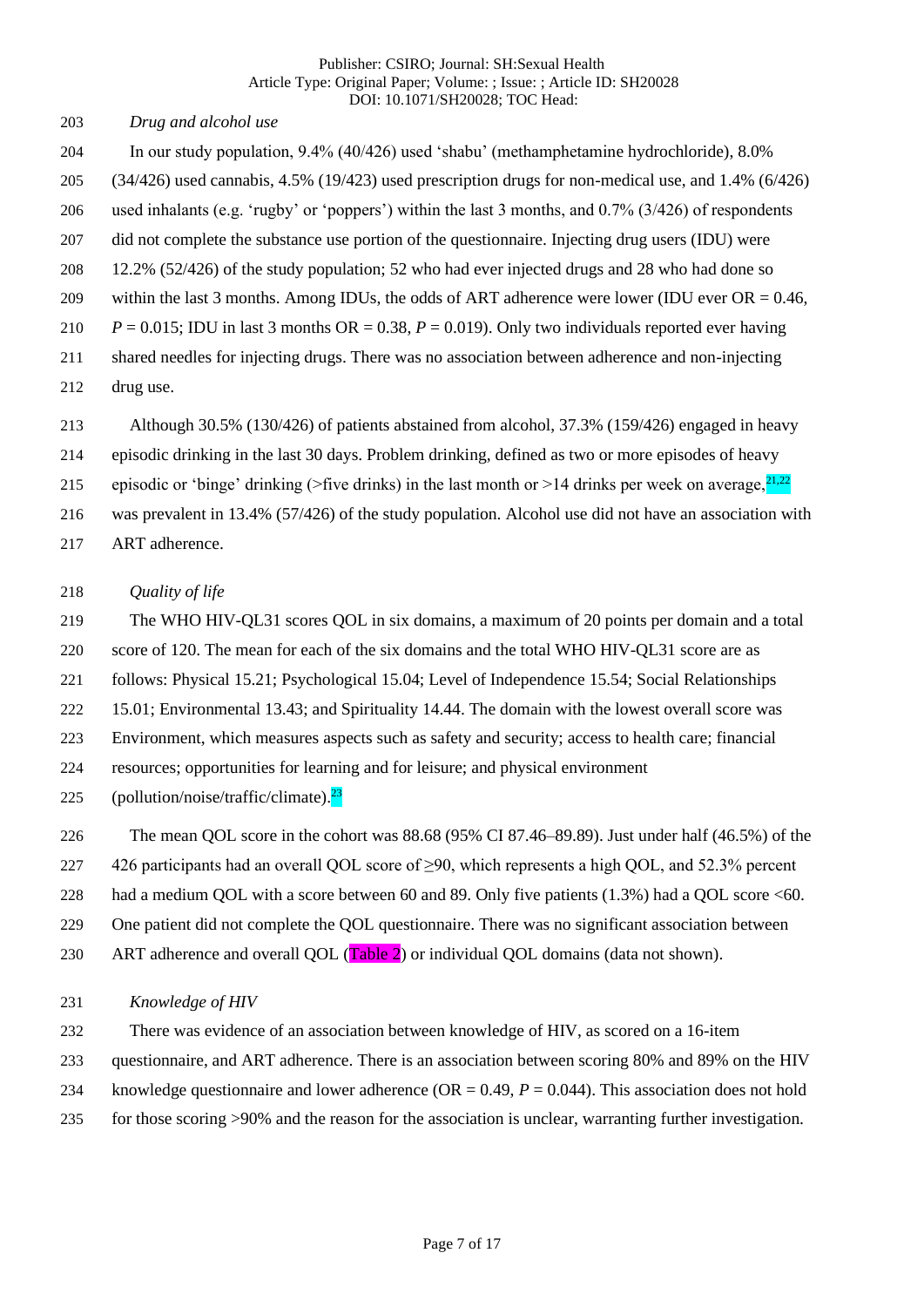| Publisher: CSIRO: Journal: SH:Sexual Health                          |
|----------------------------------------------------------------------|
| Article Type: Original Paper; Volume: ; Issue: ; Article ID: SH20028 |
| DOI: 10.1071/SH20028; TOC Head:                                      |

*Drug and alcohol use*

- In our study population, 9.4% (40/426) used 'shabu' (methamphetamine hydrochloride), 8.0% (34/426) used cannabis, 4.5% (19/423) used prescription drugs for non-medical use, and 1.4% (6/426) used inhalants (e.g. 'rugby' or 'poppers') within the last 3 months, and 0.7% (3/426) of respondents did not complete the substance use portion of the questionnaire. Injecting drug users (IDU) were 12.2% (52/426) of the study population; 52 who had ever injected drugs and 28 who had done so 209 within the last 3 months. Among IDUs, the odds of ART adherence were lower (IDU ever  $OR = 0.46$ , *P* = 0.015; IDU in last 3 months OR = 0.38, *P* = 0.019). Only two individuals reported ever having shared needles for injecting drugs. There was no association between adherence and non-injecting drug use.
- Although 30.5% (130/426) of patients abstained from alcohol, 37.3% (159/426) engaged in heavy
- episodic drinking in the last 30 days. Problem drinking, defined as two or more episodes of heavy
- episodic or 'binge' drinking (>five drinks) in the last month or >14 drinks per week on average,  $^{21,22}$
- was prevalent in 13.4% (57/426) of the study population. Alcohol use did not have an association with
- ART adherence.

# *Quality of life*

The WHO HIV-QL31 scores QOL in six domains, a maximum of 20 points per domain and a total

score of 120. The mean for each of the six domains and the total WHO HIV-QL31 score are as

follows: Physical 15.21; Psychological 15.04; Level of Independence 15.54; Social Relationships

15.01; Environmental 13.43; and Spirituality 14.44. The domain with the lowest overall score was

Environment, which measures aspects such as safety and security; access to health care; financial

resources; opportunities for learning and for leisure; and physical environment

225 (pollution/noise/traffic/climate). $\frac{23}{2}$ 

The mean QOL score in the cohort was 88.68 (95% CI 87.46–89.89). Just under half (46.5%) of the

426 participants had an overall QOL score of ≥90, which represents a high QOL, and 52.3% percent

had a medium QOL with a score between 60 and 89. Only five patients (1.3%) had a QOL score <60.

- One patient did not complete the QOL questionnaire. There was no significant association between
- 230 ART adherence and overall QOL (Table 2) or individual QOL domains (data not shown).

# *Knowledge of HIV*

- There was evidence of an association between knowledge of HIV, as scored on a 16-item
- questionnaire, and ART adherence. There is an association between scoring 80% and 89% on the HIV
- knowledge questionnaire and lower adherence (OR = 0.49, *P* = 0.044). This association does not hold
- for those scoring >90% and the reason for the association is unclear, warranting further investigation.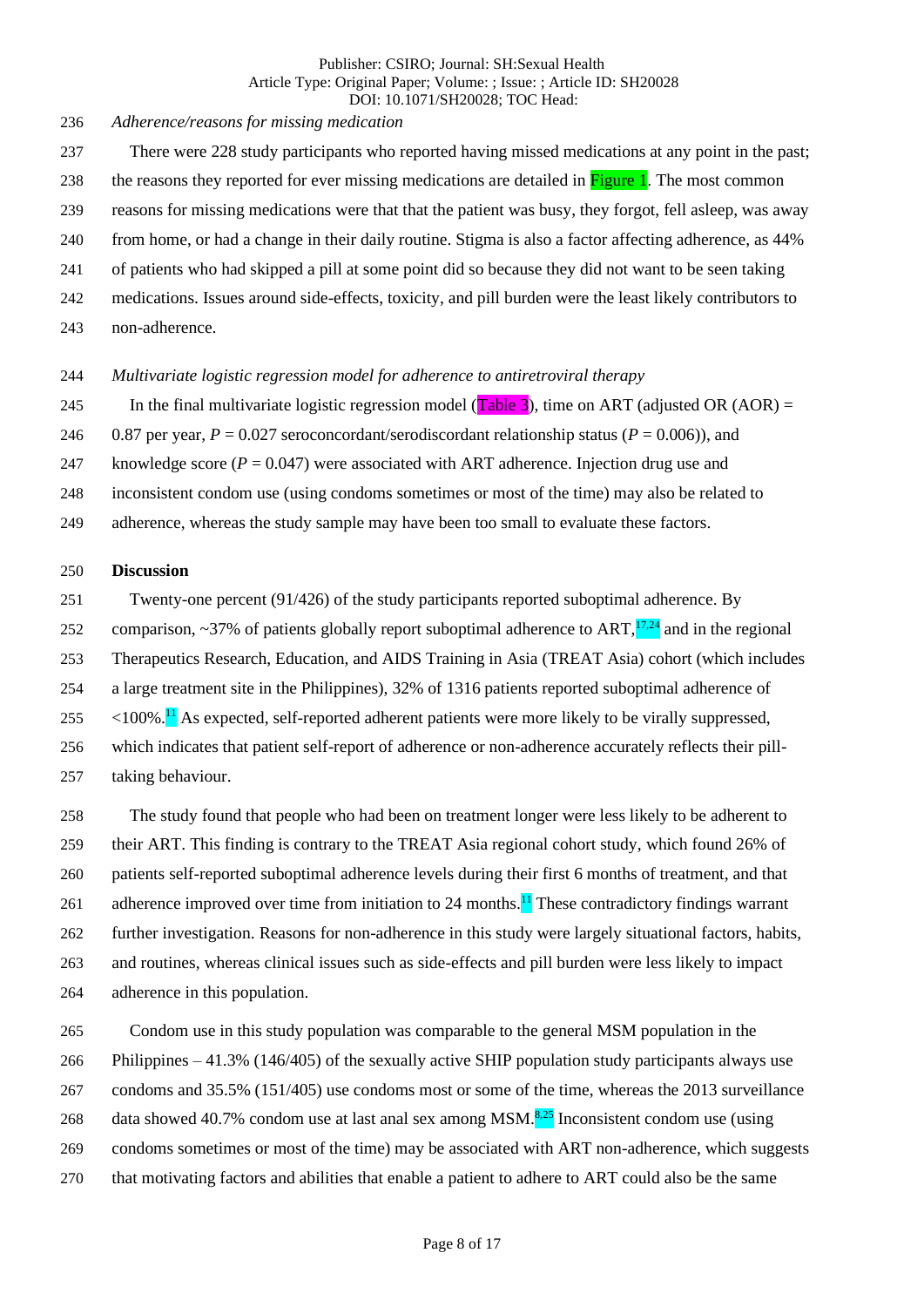*Adherence/reasons for missing medication*

- There were 228 study participants who reported having missed medications at any point in the past; 238 the reasons they reported for ever missing medications are detailed in Figure 1. The most common reasons for missing medications were that that the patient was busy, they forgot, fell asleep, was away from home, or had a change in their daily routine. Stigma is also a factor affecting adherence, as 44%
- of patients who had skipped a pill at some point did so because they did not want to be seen taking
- medications. Issues around side-effects, toxicity, and pill burden were the least likely contributors to
- non-adherence.

## *Multivariate logistic regression model for adherence to antiretroviral therapy*

- 245 In the final multivariate logistic regression model (Table 3), time on ART (adjusted OR (AOR) =
- 246 0.87 per year,  $P = 0.027$  seroconcordant/serodiscordant relationship status ( $P = 0.006$ )), and
- 247 knowledge score  $(P = 0.047)$  were associated with ART adherence. Injection drug use and
- inconsistent condom use (using condoms sometimes or most of the time) may also be related to
- adherence, whereas the study sample may have been too small to evaluate these factors.

## **Discussion**

- Twenty-one percent (91/426) of the study participants reported suboptimal adherence. By
- 252 comparison, ~37% of patients globally report suboptimal adherence to ART, $\frac{17,24}{2}$  and in the regional
- Therapeutics Research, Education, and AIDS Training in Asia (TREAT Asia) cohort (which includes
- a large treatment site in the Philippines), 32% of 1316 patients reported suboptimal adherence of
- $255 \times 100\%$ . <sup>11</sup> As expected, self-reported adherent patients were more likely to be virally suppressed,
- which indicates that patient self-report of adherence or non-adherence accurately reflects their pill-
- taking behaviour.

 The study found that people who had been on treatment longer were less likely to be adherent to their ART. This finding is contrary to the TREAT Asia regional cohort study, which found 26% of patients self-reported suboptimal adherence levels during their first 6 months of treatment, and that 261 adherence improved over time from initiation to 24 months.<sup>11</sup> These contradictory findings warrant further investigation. Reasons for non-adherence in this study were largely situational factors, habits, and routines, whereas clinical issues such as side-effects and pill burden were less likely to impact adherence in this population.

- Condom use in this study population was comparable to the general MSM population in the
- Philippines 41.3% (146/405) of the sexually active SHIP population study participants always use
- condoms and 35.5% (151/405) use condoms most or some of the time, whereas the 2013 surveillance
- 268 data showed 40.7% condom use at last anal sex among MSM. $\frac{8.25}{2}$  Inconsistent condom use (using
- condoms sometimes or most of the time) may be associated with ART non-adherence, which suggests
- that motivating factors and abilities that enable a patient to adhere to ART could also be the same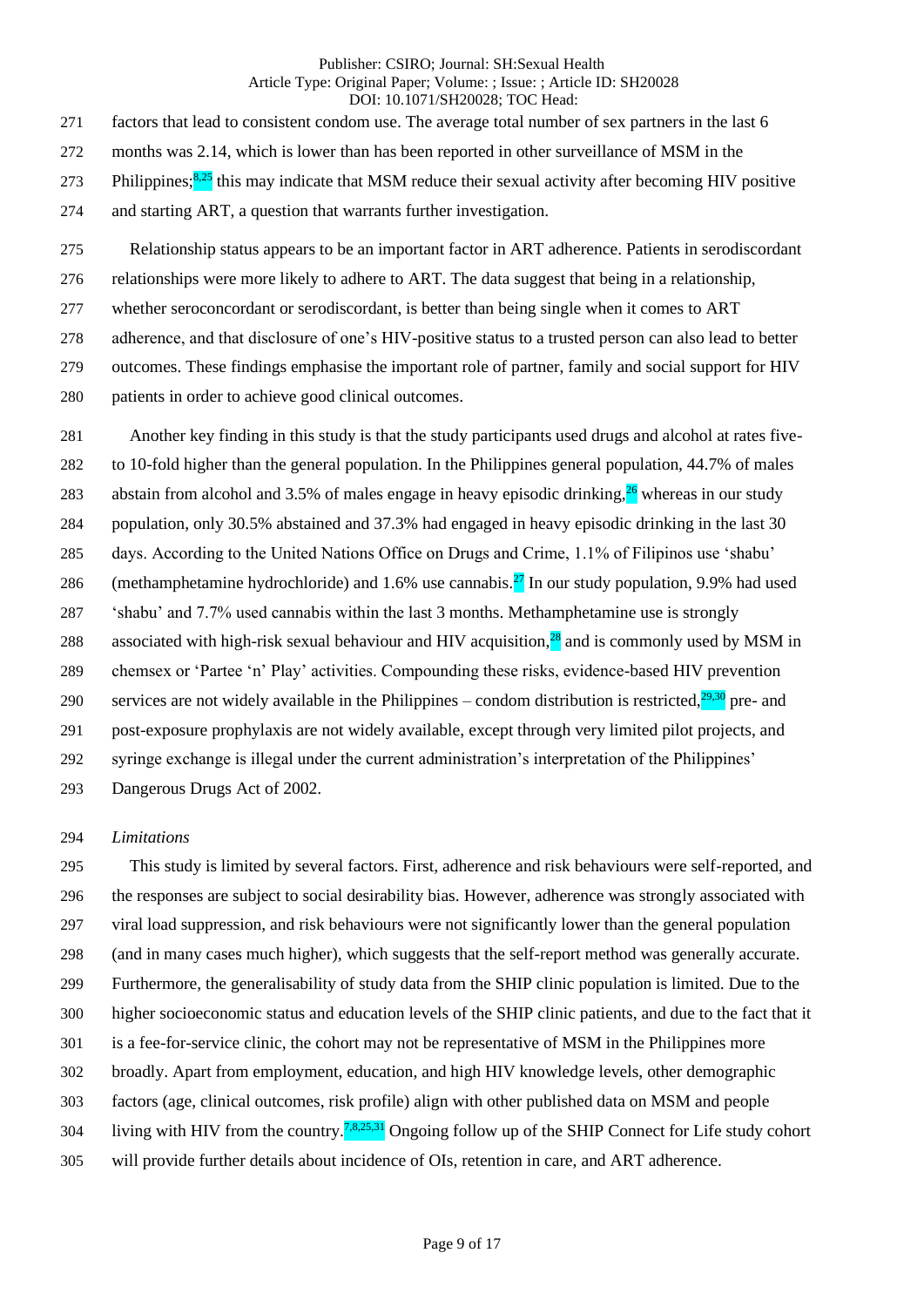factors that lead to consistent condom use. The average total number of sex partners in the last 6 months was 2.14, which is lower than has been reported in other surveillance of MSM in the 273 Philippines; $8.25$  this may indicate that MSM reduce their sexual activity after becoming HIV positive and starting ART, a question that warrants further investigation.

 Relationship status appears to be an important factor in ART adherence. Patients in serodiscordant relationships were more likely to adhere to ART. The data suggest that being in a relationship, whether seroconcordant or serodiscordant, is better than being single when it comes to ART adherence, and that disclosure of one's HIV-positive status to a trusted person can also lead to better outcomes. These findings emphasise the important role of partner, family and social support for HIV patients in order to achieve good clinical outcomes.

 Another key finding in this study is that the study participants used drugs and alcohol at rates five- to 10-fold higher than the general population. In the Philippines general population, 44.7% of males 283 abstain from alcohol and 3.5% of males engage in heavy episodic drinking,  $^{26}$  whereas in our study population, only 30.5% abstained and 37.3% had engaged in heavy episodic drinking in the last 30 days. According to the United Nations Office on Drugs and Crime, 1.1% of Filipinos use 'shabu' 286 (methamphetamine hydrochloride) and 1.6% use cannabis.<sup>27</sup> In our study population, 9.9% had used 'shabu' and 7.7% used cannabis within the last 3 months. Methamphetamine use is strongly 288 associated with high-risk sexual behaviour and HIV acquisition, $^{28}$  and is commonly used by MSM in chemsex or 'Partee 'n' Play' activities. Compounding these risks, evidence-based HIV prevention services are not widely available in the Philippines – condom distribution is restricted, $29.30$  pre- and post-exposure prophylaxis are not widely available, except through very limited pilot projects, and syringe exchange is illegal under the current administration's interpretation of the Philippines' Dangerous Drugs Act of 2002.

## *Limitations*

 This study is limited by several factors. First, adherence and risk behaviours were self-reported, and the responses are subject to social desirability bias. However, adherence was strongly associated with viral load suppression, and risk behaviours were not significantly lower than the general population (and in many cases much higher), which suggests that the self-report method was generally accurate. Furthermore, the generalisability of study data from the SHIP clinic population is limited. Due to the higher socioeconomic status and education levels of the SHIP clinic patients, and due to the fact that it is a fee-for-service clinic, the cohort may not be representative of MSM in the Philippines more broadly. Apart from employment, education, and high HIV knowledge levels, other demographic factors (age, clinical outcomes, risk profile) align with other published data on MSM and people 304 living with HIV from the country.<sup>7,8,25,31</sup> Ongoing follow up of the SHIP Connect for Life study cohort will provide further details about incidence of OIs, retention in care, and ART adherence.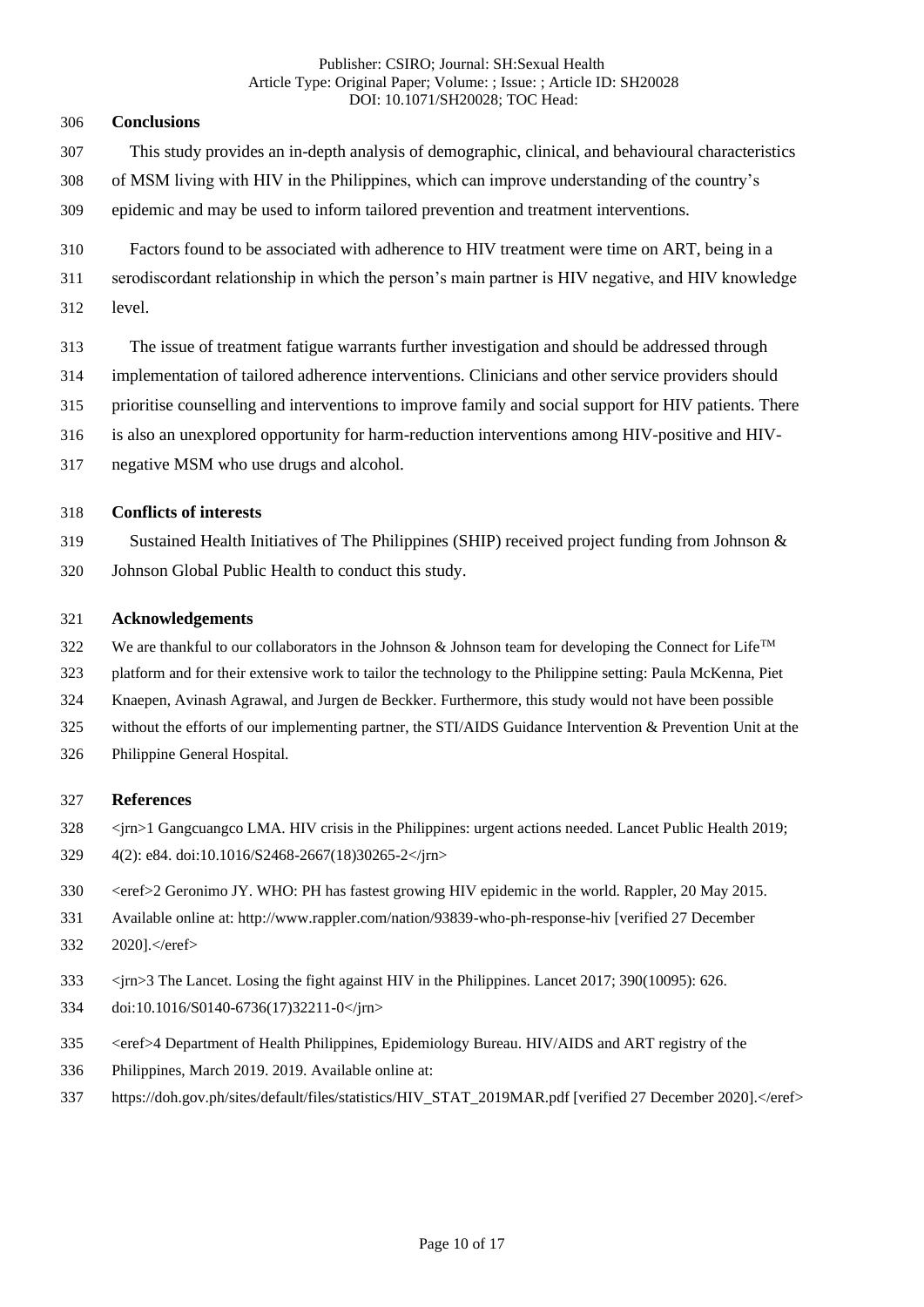# **Conclusions**

- This study provides an in-depth analysis of demographic, clinical, and behavioural characteristics
- of MSM living with HIV in the Philippines, which can improve understanding of the country's
- epidemic and may be used to inform tailored prevention and treatment interventions.
- Factors found to be associated with adherence to HIV treatment were time on ART, being in a
- serodiscordant relationship in which the person's main partner is HIV negative, and HIV knowledge
- level.
- The issue of treatment fatigue warrants further investigation and should be addressed through
- implementation of tailored adherence interventions. Clinicians and other service providers should
- prioritise counselling and interventions to improve family and social support for HIV patients. There
- is also an unexplored opportunity for harm-reduction interventions among HIV-positive and HIV-
- negative MSM who use drugs and alcohol.

# **Conflicts of interests**

 Sustained Health Initiatives of The Philippines (SHIP) received project funding from Johnson & Johnson Global Public Health to conduct this study.

# **Acknowledgements**

- We are thankful to our collaborators in the Johnson & Johnson team for developing the Connect for Life<sup>TM</sup>
- platform and for their extensive work to tailor the technology to the Philippine setting: Paula McKenna, Piet
- Knaepen, Avinash Agrawal, and Jurgen de Beckker. Furthermore, this study would not have been possible
- without the efforts of our implementing partner, the STI/AIDS Guidance Intervention & Prevention Unit at the
- Philippine General Hospital.

# **References**

- <jrn>1 Gangcuangco LMA. HIV crisis in the Philippines: urgent actions needed. Lancet Public Health 2019;
- 4(2): e84. doi:10.1016/S2468-2667(18)30265-2</jrn>
- <eref>2 Geronimo JY. WHO: PH has fastest growing HIV epidemic in the world. Rappler, 20 May 2015.
- Available online at: http://www.rappler.com/nation/93839-who-ph-response-hiv [verified 27 December
- 2020].</eref>
- <jrn>3 The Lancet. Losing the fight against HIV in the Philippines. Lancet 2017; 390(10095): 626.
- doi:10.1016/S0140-6736(17)32211-0</jrn>
- <eref>4 Department of Health Philippines, Epidemiology Bureau. HIV/AIDS and ART registry of the
- Philippines, March 2019. 2019. Available online at:
- 337 https://doh.gov.ph/sites/default/files/statistics/HIV\_STAT\_2019MAR.pdf [verified 27 December 2020].</eref>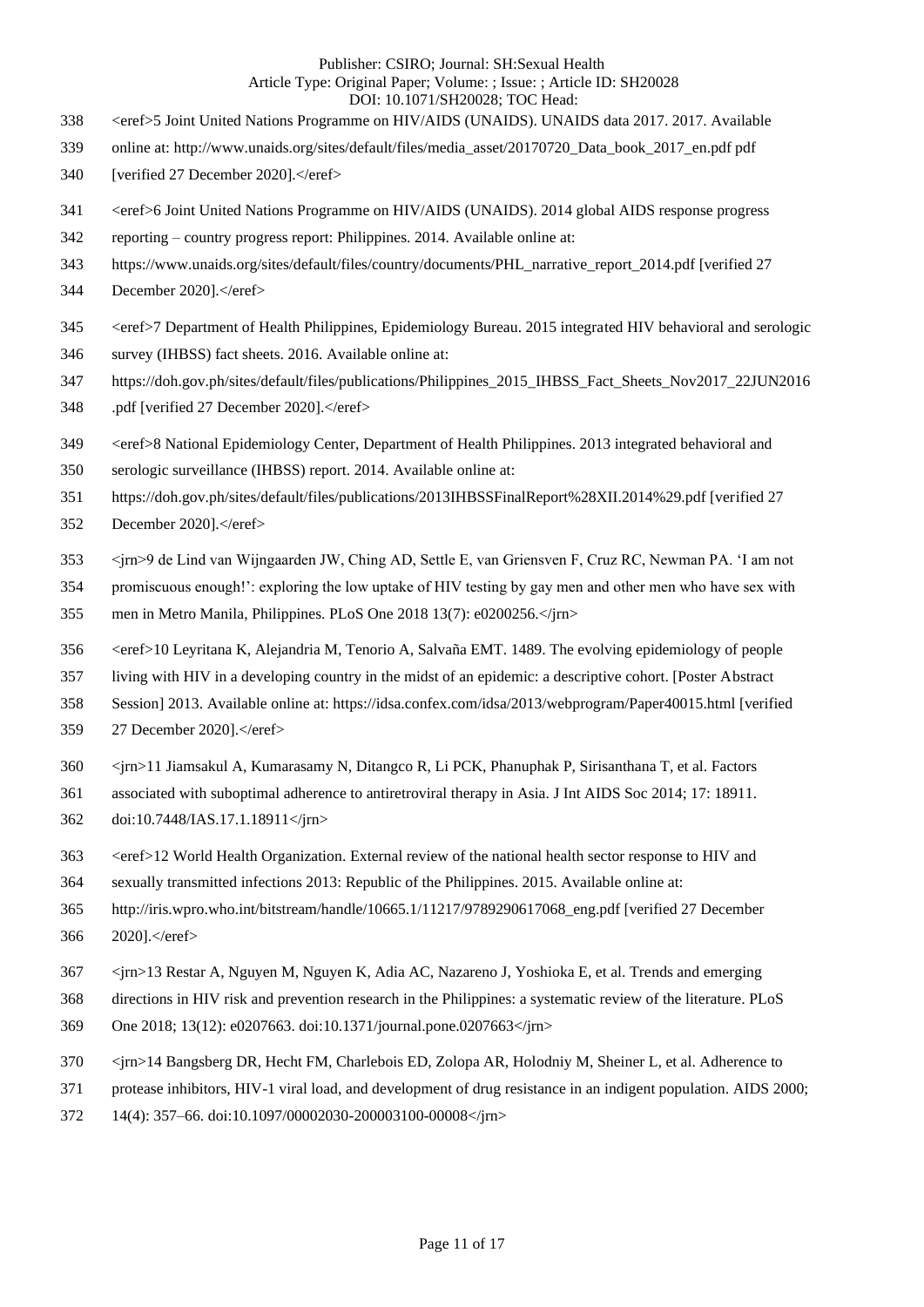- 338 <eref>5 Joint United Nations Programme on HIV/AIDS (UNAIDS). UNAIDS data 2017. 2017. Available
- online at: http://www.unaids.org/sites/default/files/media\_asset/20170720\_Data\_book\_2017\_en.pdf pdf
- 340 [verified 27 December 2020].</eref>
- 341 <eref>6 Joint United Nations Programme on HIV/AIDS (UNAIDS). 2014 global AIDS response progress
- reporting country progress report: Philippines. 2014. Available online at:
- 343 https://www.unaids.org/sites/default/files/country/documents/PHL\_narrative\_report\_2014.pdf [verified 27
- December 2020].</eref>
- 345 <eref>7 Department of Health Philippines, Epidemiology Bureau. 2015 integrated HIV behavioral and serologic
- survey (IHBSS) fact sheets. 2016. Available online at:
- https://doh.gov.ph/sites/default/files/publications/Philippines\_2015\_IHBSS\_Fact\_Sheets\_Nov2017\_22JUN2016
- 348 .pdf [verified 27 December 2020].</eref>
- 349 <eref>8 National Epidemiology Center, Department of Health Philippines. 2013 integrated behavioral and
- serologic surveillance (IHBSS) report. 2014. Available online at:
- https://doh.gov.ph/sites/default/files/publications/2013IHBSSFinalReport%28XII.2014%29.pdf [verified 27
- 352 December 2020].</eref>
- <jrn>9 de Lind van Wijngaarden JW, Ching AD, Settle E, van Griensven F, Cruz RC, Newman PA. 'I am not
- promiscuous enough!': exploring the low uptake of HIV testing by gay men and other men who have sex with men in Metro Manila, Philippines. PLoS One 2018 13(7): e0200256.</jrn>
- 356 <eref>10 Leyritana K, Alejandria M, Tenorio A, Salvaña EMT. 1489. The evolving epidemiology of people
- living with HIV in a developing country in the midst of an epidemic: a descriptive cohort. [Poster Abstract
- Session] 2013. Available online at: https://idsa.confex.com/idsa/2013/webprogram/Paper40015.html [verified
- 27 December 2020].</eref>
- <jrn>11 Jiamsakul A, Kumarasamy N, Ditangco R, Li PCK, Phanuphak P, Sirisanthana T, et al. Factors
- associated with suboptimal adherence to antiretroviral therapy in Asia. J Int AIDS Soc 2014; 17: 18911.
- doi:10.7448/IAS.17.1.18911</jrn>
- 363 <eref>12 World Health Organization. External review of the national health sector response to HIV and
- sexually transmitted infections 2013: Republic of the Philippines. 2015. Available online at:
- http://iris.wpro.who.int/bitstream/handle/10665.1/11217/9789290617068\_eng.pdf [verified 27 December
- 2020].</eref>
- <jrn>13 Restar A, Nguyen M, Nguyen K, Adia AC, Nazareno J, Yoshioka E, et al. Trends and emerging
- directions in HIV risk and prevention research in the Philippines: a systematic review of the literature. PLoS
- One 2018; 13(12): e0207663. doi:10.1371/journal.pone.0207663</jrn>
- <jrn>14 Bangsberg DR, Hecht FM, Charlebois ED, Zolopa AR, Holodniy M, Sheiner L, et al. Adherence to
- protease inhibitors, HIV-1 viral load, and development of drug resistance in an indigent population. AIDS 2000;
- 14(4): 357–66. doi:10.1097/00002030-200003100-00008</jrn>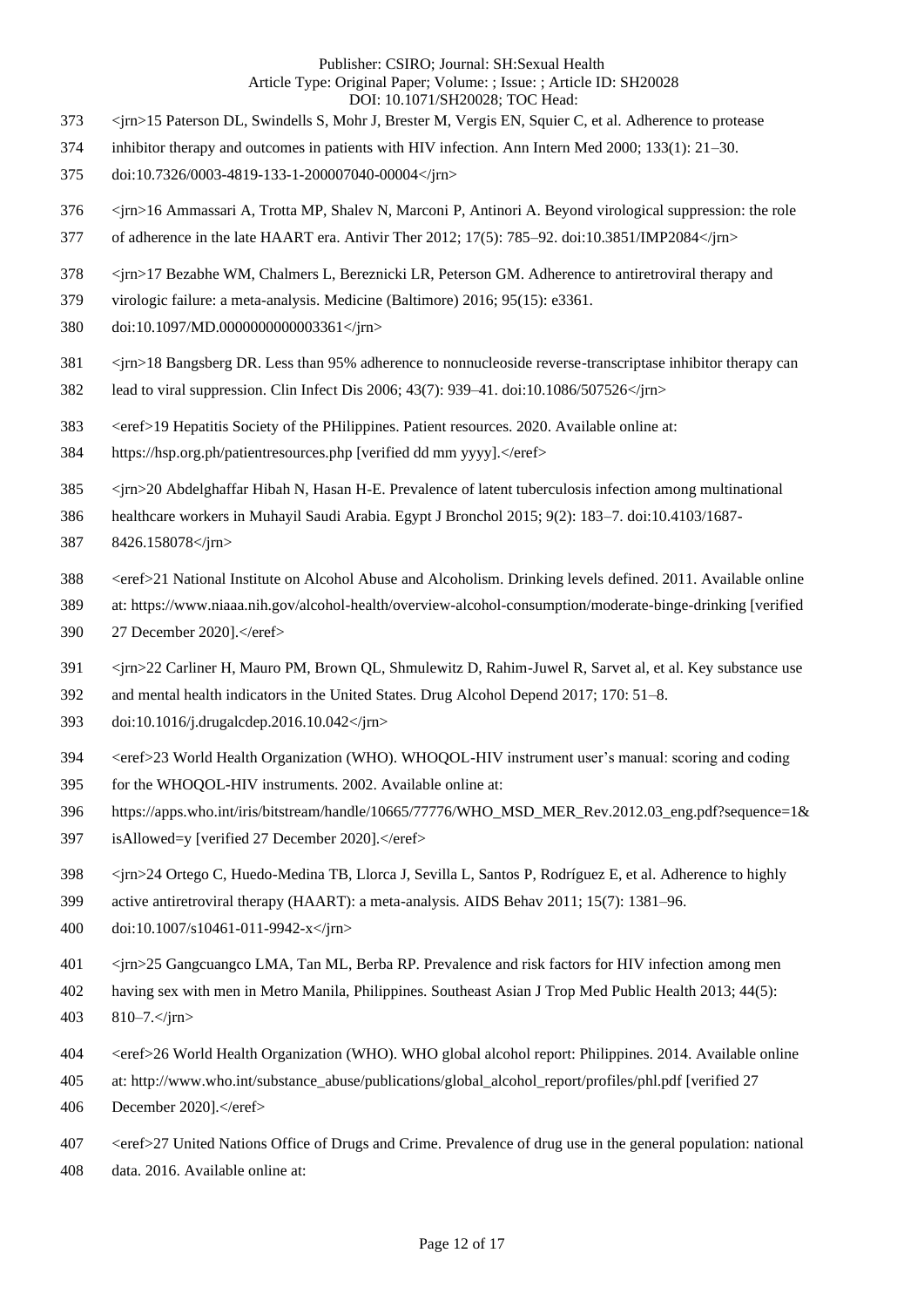- <jrn>15 Paterson DL, Swindells S, Mohr J, Brester M, Vergis EN, Squier C, et al. Adherence to protease
- inhibitor therapy and outcomes in patients with HIV infection. Ann Intern Med 2000; 133(1): 21–30.
- doi:10.7326/0003-4819-133-1-200007040-00004</jrn>
- <jrn>16 Ammassari A, Trotta MP, Shalev N, Marconi P, Antinori A. Beyond virological suppression: the role
- 377 of adherence in the late HAART era. Antivir Ther 2012; 17(5): 785–92. doi:10.3851/IMP2084</jrn>
- <jrn>17 Bezabhe WM, Chalmers L, Bereznicki LR, Peterson GM. Adherence to antiretroviral therapy and
- virologic failure: a meta-analysis. Medicine (Baltimore) 2016; 95(15): e3361.
- doi:10.1097/MD.0000000000003361</jrn>
- <jrn>18 Bangsberg DR. Less than 95% adherence to nonnucleoside reverse-transcriptase inhibitor therapy can
- lead to viral suppression. Clin Infect Dis 2006; 43(7): 939–41. doi:10.1086/507526</jrn>
- 383 <eref>19 Hepatitis Society of the PHilippines. Patient resources. 2020. Available online at:
- 384 https://hsp.org.ph/patientresources.php [verified dd mm yyyy].</eref>
- <jrn>20 Abdelghaffar Hibah N, Hasan H-E. Prevalence of latent tuberculosis infection among multinational
- healthcare workers in Muhayil Saudi Arabia. Egypt J Bronchol 2015; 9(2): 183–7. doi:10.4103/1687-
- 8426.158078</jrn>
- 388 <eref>21 National Institute on Alcohol Abuse and Alcoholism. Drinking levels defined. 2011. Available online
- at: https://www.niaaa.nih.gov/alcohol-health/overview-alcohol-consumption/moderate-binge-drinking [verified
- 27 December 2020].</eref>
- <jrn>22 Carliner H, Mauro PM, Brown QL, Shmulewitz D, Rahim-Juwel R, Sarvet al, et al. Key substance use
- and mental health indicators in the United States. Drug Alcohol Depend 2017; 170: 51–8.
- doi:10.1016/j.drugalcdep.2016.10.042</jrn>
- <eref>23 World Health Organization (WHO). WHOQOL-HIV instrument user's manual: scoring and coding
- for the WHOQOL-HIV instruments. 2002. Available online at:
- https://apps.who.int/iris/bitstream/handle/10665/77776/WHO\_MSD\_MER\_Rev.2012.03\_eng.pdf?sequence=1&
- 397 isAllowed=y [verified 27 December 2020].</eref>
- <jrn>24 Ortego C, Huedo-Medina TB, Llorca J, Sevilla L, Santos P, Rodríguez E, et al. Adherence to highly
- active antiretroviral therapy (HAART): a meta-analysis. AIDS Behav 2011; 15(7): 1381–96.
- doi:10.1007/s10461-011-9942-x</jrn>
- <jrn>25 Gangcuangco LMA, Tan ML, Berba RP. Prevalence and risk factors for HIV infection among men
- having sex with men in Metro Manila, Philippines. Southeast Asian J Trop Med Public Health 2013; 44(5):
- 810–7.</jrn>
- <eref>26 World Health Organization (WHO). WHO global alcohol report: Philippines. 2014. Available online
- at: http://www.who.int/substance\_abuse/publications/global\_alcohol\_report/profiles/phl.pdf [verified 27
- 406 December 2020].</eref>
- <eref>27 United Nations Office of Drugs and Crime. Prevalence of drug use in the general population: national
- data. 2016. Available online at: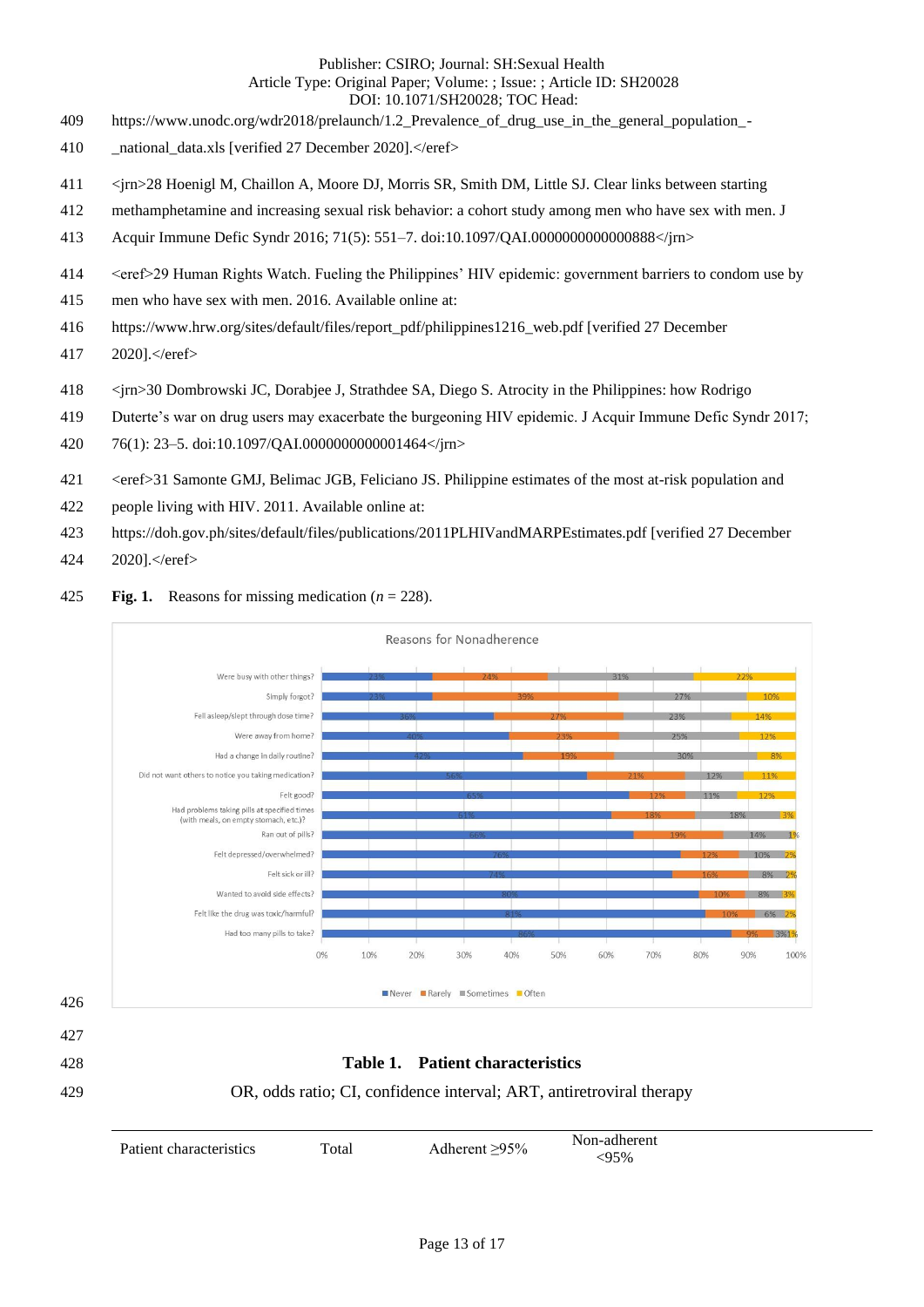- https://www.unodc.org/wdr2018/prelaunch/1.2\_Prevalence\_of\_drug\_use\_in\_the\_general\_population\_-
- 410 \_\_ national\_data.xls [verified 27 December 2020].</eref>
- <jrn>28 Hoenigl M, Chaillon A, Moore DJ, Morris SR, Smith DM, Little SJ. Clear links between starting
- methamphetamine and increasing sexual risk behavior: a cohort study among men who have sex with men. J
- Acquir Immune Defic Syndr 2016; 71(5): 551–7. doi:10.1097/QAI.0000000000000888</jrn>
- <eref>29 Human Rights Watch. Fueling the Philippines' HIV epidemic: government barriers to condom use by
- men who have sex with men. 2016. Available online at:
- https://www.hrw.org/sites/default/files/report\_pdf/philippines1216\_web.pdf [verified 27 December
- 2020].</eref>
- <jrn>30 Dombrowski JC, Dorabjee J, Strathdee SA, Diego S. Atrocity in the Philippines: how Rodrigo
- Duterte's war on drug users may exacerbate the burgeoning HIV epidemic. J Acquir Immune Defic Syndr 2017;
- 76(1): 23–5. doi:10.1097/QAI.0000000000001464</jrn>
- <eref>31 Samonte GMJ, Belimac JGB, Feliciano JS. Philippine estimates of the most at-risk population and
- people living with HIV. 2011. Available online at:
- https://doh.gov.ph/sites/default/files/publications/2011PLHIVandMARPEstimates.pdf [verified 27 December
- 2020].</eref>
- **Fig. 1.** Reasons for missing medication (*n* = 228).



Patient characteristics Total Adherent ≥95% Non-adherent <95%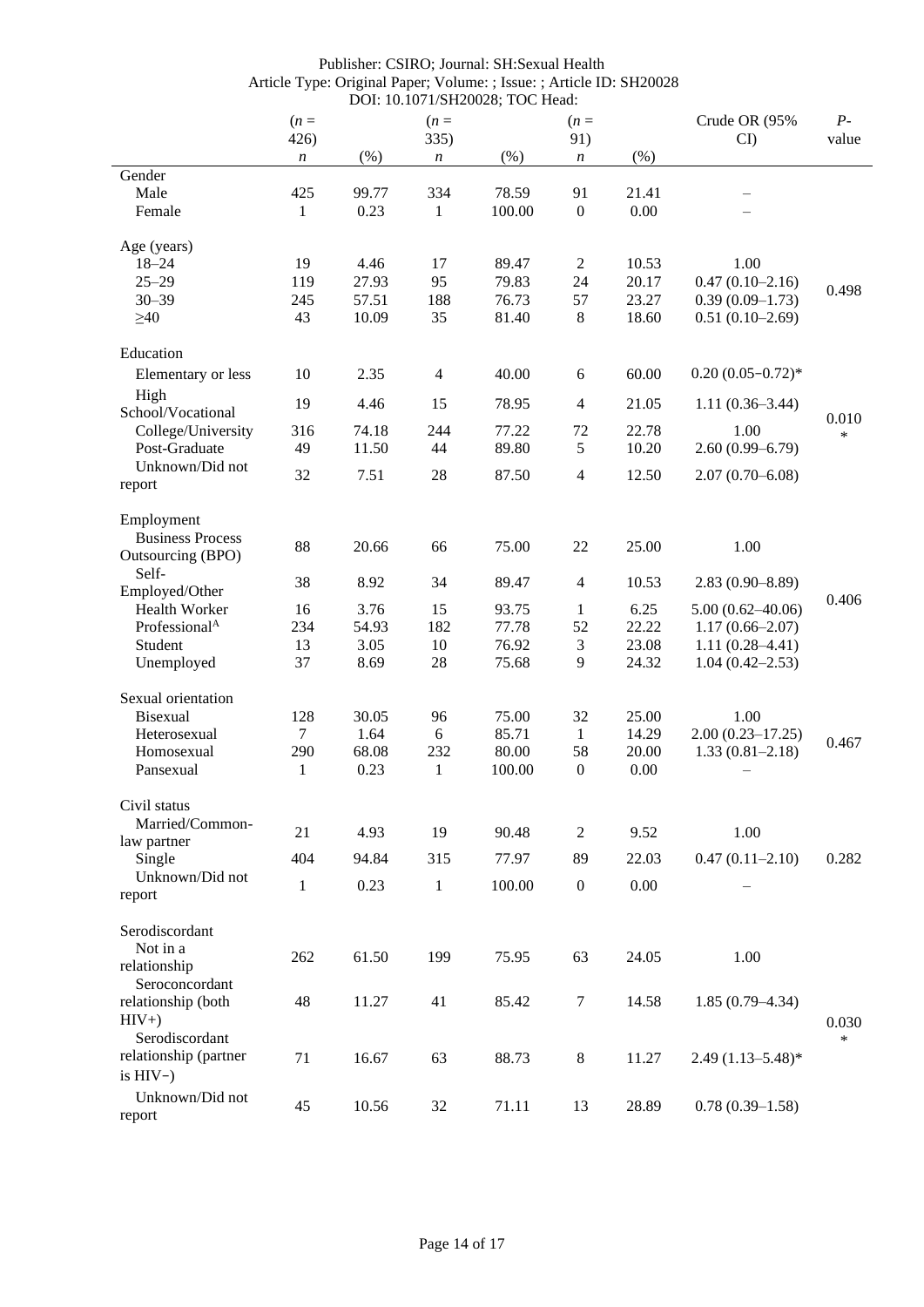|                           | $(n =$<br>426)   |       | $(n=$<br>335)    |        | $(n=$<br>91)     |       | Crude OR (95%<br>CI   | $P-$<br>value   |
|---------------------------|------------------|-------|------------------|--------|------------------|-------|-----------------------|-----------------|
|                           | $\boldsymbol{n}$ | (%)   | $\boldsymbol{n}$ | (%)    | $\boldsymbol{n}$ | (%)   |                       |                 |
| Gender                    |                  |       |                  |        |                  |       |                       |                 |
| Male                      | 425              | 99.77 | 334              | 78.59  | 91               | 21.41 |                       |                 |
| Female                    | 1                | 0.23  | $\mathbf{1}$     | 100.00 | $\boldsymbol{0}$ | 0.00  |                       |                 |
|                           |                  |       |                  |        |                  |       |                       |                 |
| Age (years)               |                  |       |                  |        |                  |       |                       |                 |
| $18 - 24$                 | 19               | 4.46  | 17               | 89.47  | 2                | 10.53 | 1.00                  |                 |
| $25 - 29$                 | 119              | 27.93 | 95               | 79.83  | 24               | 20.17 | $0.47(0.10-2.16)$     |                 |
| $30 - 39$                 | 245              | 57.51 | 188              | 76.73  | 57               | 23.27 | $0.39(0.09-1.73)$     | 0.498           |
| $\geq 40$                 | 43               | 10.09 | 35               | 81.40  | $\,8\,$          | 18.60 | $0.51(0.10-2.69)$     |                 |
|                           |                  |       |                  |        |                  |       |                       |                 |
| Education                 |                  |       |                  |        |                  |       |                       |                 |
| Elementary or less        | 10               | 2.35  | $\overline{4}$   | 40.00  | 6                | 60.00 | $0.20(0.05-0.72)$ *   |                 |
| High                      |                  |       |                  |        |                  |       |                       |                 |
| School/Vocational         | 19               | 4.46  | 15               | 78.95  | 4                | 21.05 | $1.11(0.36-3.44)$     |                 |
| College/University        | 316              | 74.18 | 244              | 77.22  | 72               | 22.78 | 1.00                  | 0.010<br>$\ast$ |
| Post-Graduate             | 49               | 11.50 | 44               | 89.80  | 5                | 10.20 | $2.60(0.99 - 6.79)$   |                 |
| Unknown/Did not           |                  |       |                  |        |                  |       |                       |                 |
|                           | 32               | 7.51  | 28               | 87.50  | 4                | 12.50 | $2.07(0.70 - 6.08)$   |                 |
| report                    |                  |       |                  |        |                  |       |                       |                 |
| Employment                |                  |       |                  |        |                  |       |                       |                 |
| <b>Business Process</b>   |                  |       |                  |        |                  |       |                       |                 |
| Outsourcing (BPO)         | 88               | 20.66 | 66               | 75.00  | 22               | 25.00 | 1.00                  |                 |
| Self-                     |                  |       |                  |        |                  |       |                       |                 |
| Employed/Other            | 38               | 8.92  | 34               | 89.47  | 4                | 10.53 | $2.83(0.90 - 8.89)$   |                 |
| Health Worker             | 16               | 3.76  | 15               | 93.75  | 1                | 6.25  | $5.00(0.62 - 40.06)$  | 0.406           |
| Professional <sup>A</sup> | 234              | 54.93 | 182              | 77.78  | 52               | 22.22 |                       |                 |
|                           |                  |       |                  |        |                  |       | $1.17(0.66 - 2.07)$   |                 |
| Student                   | 13               | 3.05  | 10               | 76.92  | 3                | 23.08 | $1.11(0.28 - 4.41)$   |                 |
| Unemployed                | 37               | 8.69  | 28               | 75.68  | 9                | 24.32 | $1.04(0.42 - 2.53)$   |                 |
| Sexual orientation        |                  |       |                  |        |                  |       |                       |                 |
|                           |                  |       |                  |        |                  |       |                       |                 |
| Bisexual                  | 128              | 30.05 | 96               | 75.00  | 32               | 25.00 | 1.00                  |                 |
| Heterosexual              | $\tau$           | 1.64  | $\boldsymbol{6}$ | 85.71  | 1                | 14.29 | $2.00(0.23 - 17.25)$  | 0.467           |
| Homosexual                | 290              | 68.08 | 232              | 80.00  | 58               | 20.00 | $1.33(0.81 - 2.18)$   |                 |
| Pansexual                 | $\mathbf{1}$     | 0.23  | $\mathbf{1}$     | 100.00 | $\boldsymbol{0}$ | 0.00  |                       |                 |
|                           |                  |       |                  |        |                  |       |                       |                 |
| Civil status              |                  |       |                  |        |                  |       |                       |                 |
| Married/Common-           | 21               | 4.93  | 19               | 90.48  | 2                | 9.52  | 1.00                  |                 |
| law partner               |                  |       |                  |        |                  |       |                       |                 |
| Single                    | 404              | 94.84 | 315              | 77.97  | 89               | 22.03 | $0.47(0.11 - 2.10)$   | 0.282           |
| Unknown/Did not           | $\mathbf{1}$     | 0.23  | $\mathbf{1}$     | 100.00 | $\boldsymbol{0}$ | 0.00  |                       |                 |
| report                    |                  |       |                  |        |                  |       |                       |                 |
| Serodiscordant            |                  |       |                  |        |                  |       |                       |                 |
| Not in a                  |                  |       |                  |        |                  |       |                       |                 |
| relationship              | 262              | 61.50 | 199              | 75.95  | 63               | 24.05 | 1.00                  |                 |
|                           |                  |       |                  |        |                  |       |                       |                 |
| Seroconcordant            |                  |       |                  |        |                  |       |                       |                 |
| relationship (both        | 48               | 11.27 | 41               | 85.42  | $\tau$           | 14.58 | $1.85(0.79-4.34)$     |                 |
| $HIV+$                    |                  |       |                  |        |                  |       |                       | 0.030           |
| Serodiscordant            |                  |       |                  |        |                  |       |                       | $\ast$          |
| relationship (partner     | 71               | 16.67 | 63               | 88.73  | $8\,$            | 11.27 | $2.49(1.13 - 5.48)^*$ |                 |
| is $HIV-$ )               |                  |       |                  |        |                  |       |                       |                 |
| Unknown/Did not           |                  |       |                  |        |                  |       |                       |                 |
| report                    | 45               | 10.56 | 32               | 71.11  | 13               | 28.89 | $0.78(0.39-1.58)$     |                 |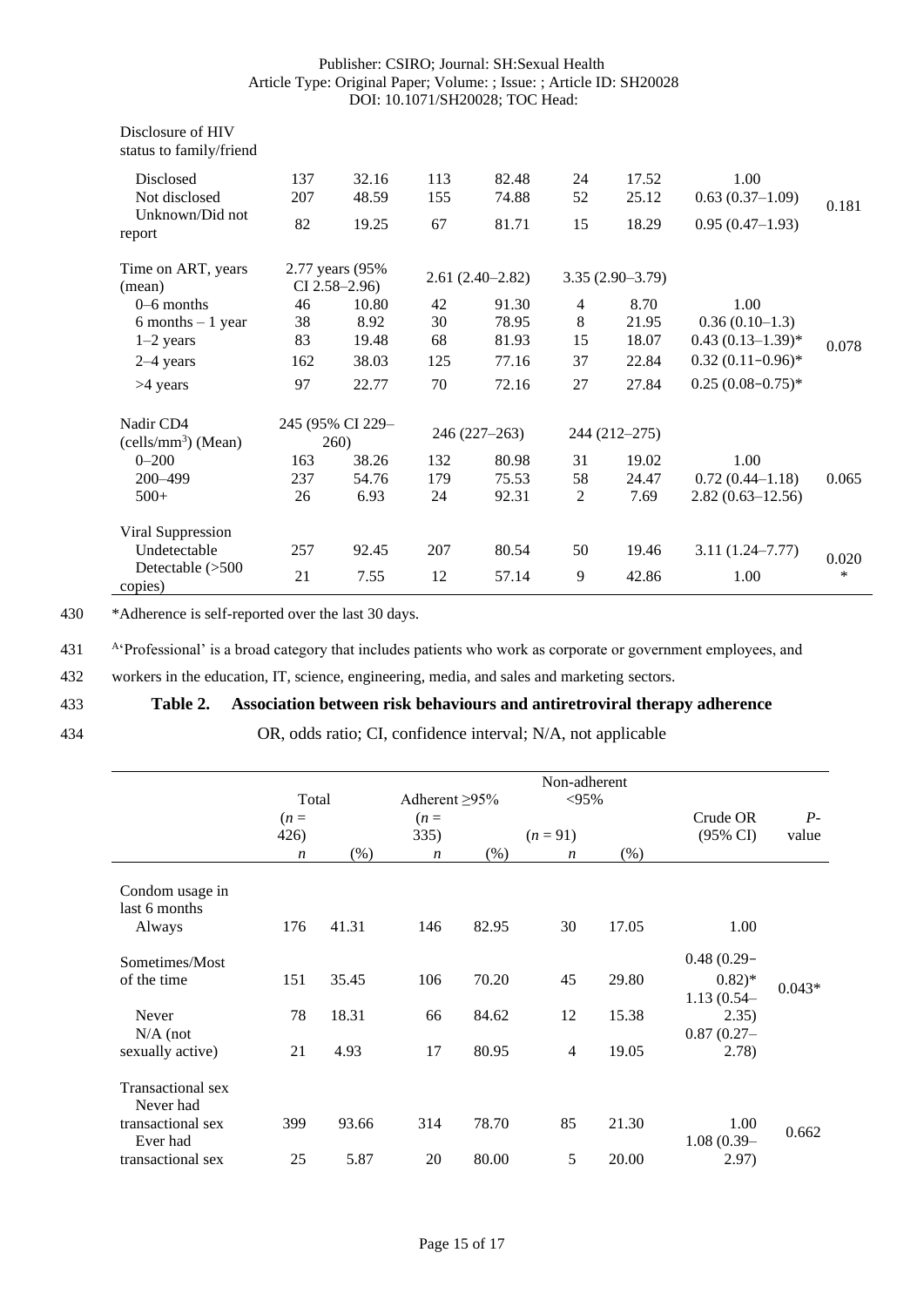| Disclosure of HIV<br>status to family/friend |     |                                     |     |                   |                |                   |                      |       |
|----------------------------------------------|-----|-------------------------------------|-----|-------------------|----------------|-------------------|----------------------|-------|
| Disclosed                                    | 137 | 32.16                               | 113 | 82.48             | 24             | 17.52             | 1.00                 |       |
| Not disclosed                                | 207 | 48.59                               | 155 | 74.88             | 52             | 25.12             | $0.63(0.37-1.09)$    | 0.181 |
| Unknown/Did not<br>report                    | 82  | 19.25                               | 67  | 81.71             | 15             | 18.29             | $0.95(0.47-1.93)$    |       |
| Time on ART, years<br>(mean)                 |     | 2.77 years (95%)<br>$CI$ 2.58–2.96) |     | $2.61(2.40-2.82)$ |                | $3.35(2.90-3.79)$ |                      |       |
| $0-6$ months                                 | 46  | 10.80                               | 42  | 91.30             | $\overline{4}$ | 8.70              | 1.00                 |       |
| $6$ months $-1$ year                         | 38  | 8.92                                | 30  | 78.95             | 8              | 21.95             | $0.36(0.10-1.3)$     |       |
| $1-2$ years                                  | 83  | 19.48                               | 68  | 81.93             | 15             | 18.07             | $0.43(0.13-1.39)$ *  | 0.078 |
| $2-4$ years                                  | 162 | 38.03                               | 125 | 77.16             | 37             | 22.84             | $0.32(0.11-0.96)$ *  |       |
| >4 years                                     | 97  | 22.77                               | 70  | 72.16             | 27             | 27.84             | $0.25(0.08-0.75)$ *  |       |
| Nadir CD4<br>(cells/mm <sup>3</sup> ) (Mean) |     | 245 (95% CI 229-<br>260)            |     | 246 (227-263)     |                | 244 (212–275)     |                      |       |
| $0 - 200$                                    | 163 | 38.26                               | 132 | 80.98             | 31             | 19.02             | 1.00                 |       |
| 200-499                                      | 237 | 54.76                               | 179 | 75.53             | 58             | 24.47             | $0.72(0.44 - 1.18)$  | 0.065 |
| $500+$                                       | 26  | 6.93                                | 24  | 92.31             | 2              | 7.69              | $2.82(0.63 - 12.56)$ |       |
| Viral Suppression                            |     |                                     |     |                   |                |                   |                      |       |
| Undetectable                                 | 257 | 92.45                               | 207 | 80.54             | 50             | 19.46             | $3.11(1.24 - 7.77)$  | 0.020 |
| Detectable $(>500$<br>copies)                | 21  | 7.55                                | 12  | 57.14             | 9              | 42.86             | 1.00                 | *     |

430 \*Adherence is self-reported over the last 30 days.

A<sup>4</sup>Professional' is a broad category that includes patients who work as corporate or government employees, and

432 workers in the education, IT, science, engineering, media, and sales and marketing sectors.

# 433 **Table 2. Association between risk behaviours and antiretroviral therapy adherence**

# 434 OR, odds ratio; CI, confidence interval; N/A, not applicable

|                                                                                      | Total                             |                        | Adherent $\geq 95\%$              |                         | Non-adherent<br>$< 95\%$     |                         |                                                                                 |               |
|--------------------------------------------------------------------------------------|-----------------------------------|------------------------|-----------------------------------|-------------------------|------------------------------|-------------------------|---------------------------------------------------------------------------------|---------------|
|                                                                                      | $(n=$<br>426)<br>$\boldsymbol{n}$ | $(\%)$                 | $(n=$<br>335)<br>$\boldsymbol{n}$ | $(\% )$                 | $(n=91)$<br>$\boldsymbol{n}$ | (% )                    | Crude OR<br>(95% CI)                                                            | $P-$<br>value |
| Condom usage in<br>last 6 months<br>Always                                           | 176                               | 41.31                  | 146                               | 82.95                   | 30                           | 17.05                   | 1.00                                                                            |               |
| Sometimes/Most<br>of the time<br>Never<br>$N/A$ (not<br>sexually active)             | 151<br>78<br>21                   | 35.45<br>18.31<br>4.93 | 106<br>66<br>17                   | 70.20<br>84.62<br>80.95 | 45<br>12<br>$\overline{4}$   | 29.80<br>15.38<br>19.05 | $0.48(0.29 -$<br>$(0.82)$ *<br>$1.13(0.54 -$<br>2.35)<br>$0.87(0.27 -$<br>2.78) | $0.043*$      |
| Transactional sex<br>Never had<br>transactional sex<br>Ever had<br>transactional sex | 399<br>25                         | 93.66<br>5.87          | 314<br>20                         | 78.70<br>80.00          | 85<br>5                      | 21.30<br>20.00          | 1.00<br>$1.08(0.39-$<br>2.97)                                                   | 0.662         |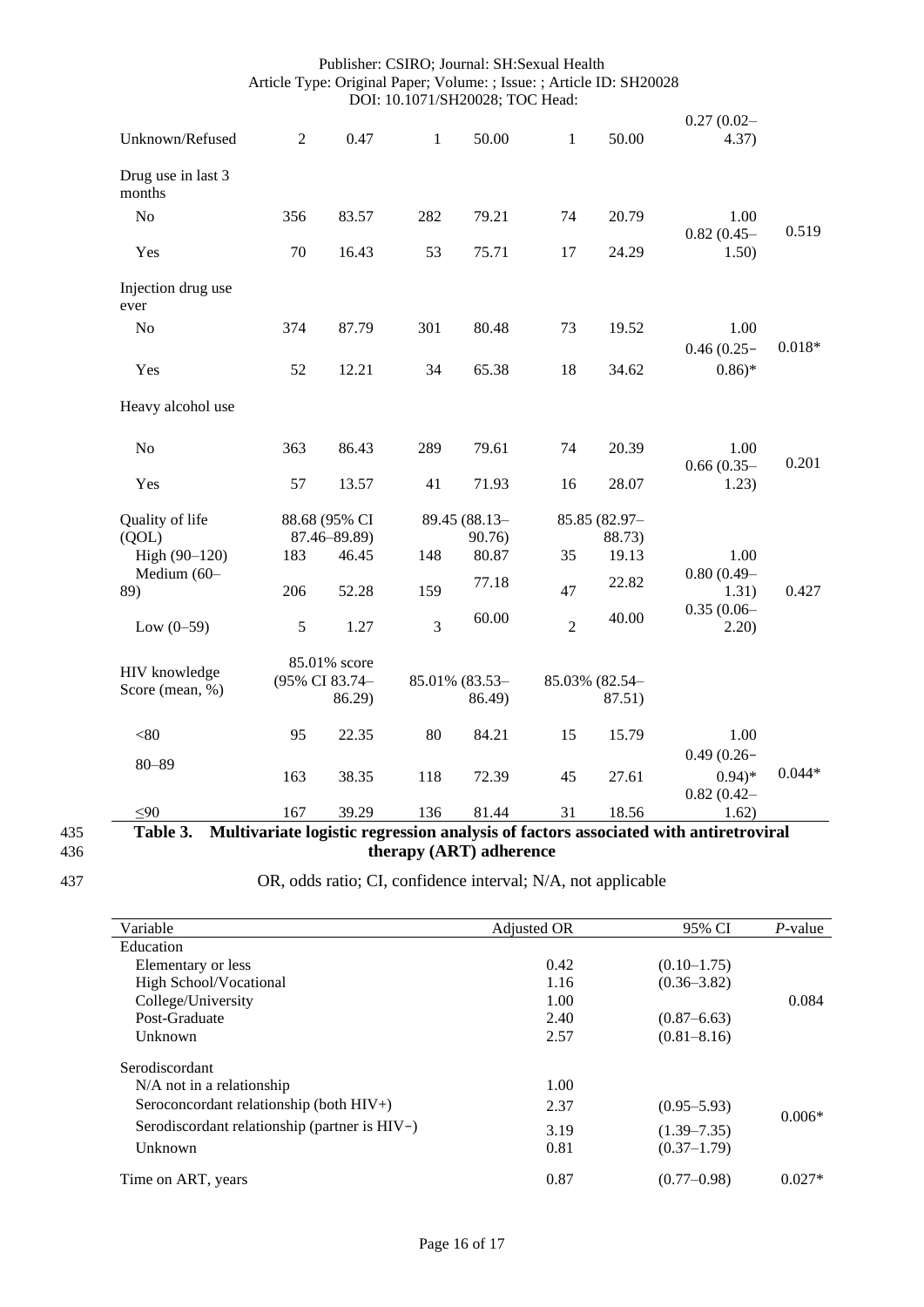| Unknown/Refused              | $\overline{2}$ | 0.47           | $\mathbf{1}$ | 50.00          | $\mathbf{1}$   | 50.00          | $0.27(0.02 -$<br>4.37)    |          |
|------------------------------|----------------|----------------|--------------|----------------|----------------|----------------|---------------------------|----------|
|                              |                |                |              |                |                |                |                           |          |
| Drug use in last 3<br>months |                |                |              |                |                |                |                           |          |
| N <sub>o</sub>               | 356            | 83.57          | 282          | 79.21          | 74             | 20.79          | 1.00<br>$0.82(0.45 -$     | 0.519    |
| Yes                          | 70             | 16.43          | 53           | 75.71          | 17             | 24.29          | 1.50)                     |          |
| Injection drug use<br>ever   |                |                |              |                |                |                |                           |          |
| N <sub>o</sub>               | 374            | 87.79          | 301          | 80.48          | 73             | 19.52          | 1.00<br>$0.46(0.25 -$     | $0.018*$ |
| Yes                          | 52             | 12.21          | 34           | 65.38          | 18             | 34.62          | $0.86*$                   |          |
| Heavy alcohol use            |                |                |              |                |                |                |                           |          |
| N <sub>o</sub>               | 363            | 86.43          | 289          | 79.61          | 74             | 20.39          | 1.00                      | 0.201    |
| Yes                          | 57             | 13.57          | 41           | 71.93          | 16             | 28.07          | $0.66(0.35 -$<br>1.23)    |          |
| Quality of life              |                | 88.68 (95% CI  |              | 89.45 (88.13-  |                | 85.85 (82.97-  |                           |          |
| (QOL)                        |                | 87.46-89.89)   |              | 90.76)         |                | 88.73)         |                           |          |
| High (90-120)                | 183            | 46.45          | 148          | 80.87          | 35             | 19.13          | 1.00                      |          |
| Medium (60-<br>89)           | 206            | 52.28          | 159          | 77.18          | 47             | 22.82          | $0.80(0.49 -$<br>1.31)    | 0.427    |
| Low $(0-59)$                 | $\sqrt{5}$     | 1.27           | 3            | 60.00          | $\overline{2}$ | 40.00          | $0.35(0.06 -$<br>2.20)    |          |
|                              |                | 85.01% score   |              |                |                |                |                           |          |
| HIV knowledge                |                | (95% CI 83.74- |              | 85.01% (83.53- |                | 85.03% (82.54- |                           |          |
| Score (mean, %)              |                | 86.29)         |              | 86.49)         |                | 87.51)         |                           |          |
| < 80                         | 95             | 22.35          | 80           | 84.21          | 15             | 15.79          | 1.00                      |          |
| $80 - 89$                    | 163            | 38.35          | 118          | 72.39          | 45             | 27.61          | $0.49(0.26 -$<br>$0.94)*$ | $0.044*$ |
|                              |                |                |              |                |                |                | $0.82(0.42 -$             |          |
| $\leq 90$                    | 167            | 39.29          | 136          | 81.44          | 31             | 18.56          | 1.62)                     |          |

# 435 **Table 3. Multivariate logistic regression analysis of factors associated with antiretroviral**  436 **therapy (ART) adherence**

# 437 OR, odds ratio; CI, confidence interval; N/A, not applicable

| Variable                                      | Adjusted OR | 95% CI          | $P$ -value |
|-----------------------------------------------|-------------|-----------------|------------|
| Education                                     |             |                 |            |
| Elementary or less                            | 0.42        | $(0.10 - 1.75)$ |            |
| High School/Vocational                        | 1.16        | $(0.36 - 3.82)$ |            |
| College/University                            | 1.00        |                 | 0.084      |
| Post-Graduate                                 | 2.40        | $(0.87 - 6.63)$ |            |
| Unknown                                       | 2.57        | $(0.81 - 8.16)$ |            |
| Serodiscordant                                |             |                 |            |
| $N/A$ not in a relationship                   | 1.00        |                 |            |
| Seroconcordant relationship (both $HIV+$ )    | 2.37        | $(0.95 - 5.93)$ | $0.006*$   |
| Serodiscordant relationship (partner is HIV-) | 3.19        | $(1.39 - 7.35)$ |            |
| Unknown                                       | 0.81        | $(0.37 - 1.79)$ |            |
| Time on ART, years                            | 0.87        | $(0.77 - 0.98)$ | $0.027*$   |